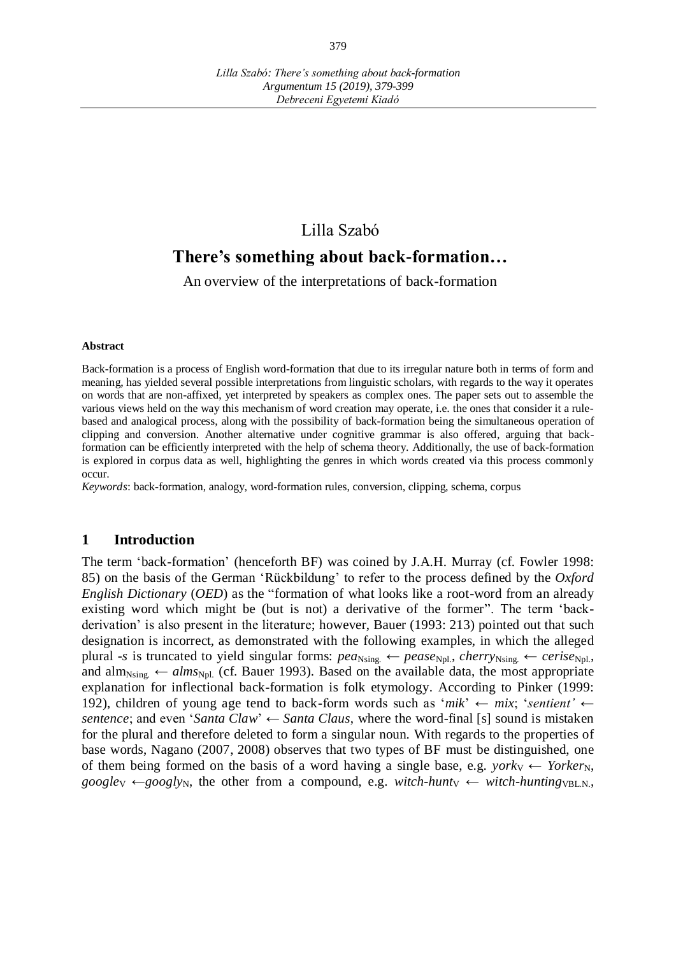# Lilla Szabó

## **There's something about back-formation…**

An overview of the interpretations of back-formation

#### **Abstract**

Back-formation is a process of English word-formation that due to its irregular nature both in terms of form and meaning, has yielded several possible interpretations from linguistic scholars, with regards to the way it operates on words that are non-affixed, yet interpreted by speakers as complex ones. The paper sets out to assemble the various views held on the way this mechanism of word creation may operate, i.e. the ones that consider it a rulebased and analogical process, along with the possibility of back-formation being the simultaneous operation of clipping and conversion. Another alternative under cognitive grammar is also offered, arguing that backformation can be efficiently interpreted with the help of schema theory. Additionally, the use of back-formation is explored in corpus data as well, highlighting the genres in which words created via this process commonly occur.

*Keywords*: back-formation, analogy, word-formation rules, conversion, clipping, schema, corpus

### **1 Introduction**

The term 'back-formation' (henceforth BF) was coined by J.A.H. Murray (cf. Fowler 1998: 85) on the basis of the German 'Rückbildung' to refer to the process defined by the *Oxford English Dictionary* (*OED*) as the "formation of what looks like a root-word from an already existing word which might be (but is not) a derivative of the former". The term 'backderivation' is also present in the literature; however, Bauer (1993: 213) pointed out that such designation is incorrect, as demonstrated with the following examples, in which the alleged plural *-s* is truncated to yield singular forms:  $pea_{\text{Nsing.}} \leftarrow pease_{\text{Npl.}}$ ,  $cherry_{\text{Nsing.}} \leftarrow cerise_{\text{Npl.}}$ and alm<sub>Nsing.</sub>  $\leftarrow$  *alms*<sub>Npl.</sub> (cf. Bauer 1993). Based on the available data, the most appropriate explanation for inflectional back-formation is folk etymology. According to Pinker (1999: 192), children of young age tend to back-form words such as '*mik*'  $\leftarrow$  *mix*; '*sentient'*  $\leftarrow$ *sentence*; and even '*Santa Claw*'  $\leftarrow$  *Santa Claus*, where the word-final [s] sound is mistaken for the plural and therefore deleted to form a singular noun. With regards to the properties of base words, Nagano (2007, 2008) observes that two types of BF must be distinguished, one of them being formed on the basis of a word having a single base, e.g. *york*<sub>V</sub>  $\leftarrow$  *Yorker*<sub>N</sub>,  $google_V \leftarrow googlv_N$ , the other from a compound, e.g. *witch-hunt*<sub>V</sub> ← *witch-hunting*<sub>VBLN.</sub>,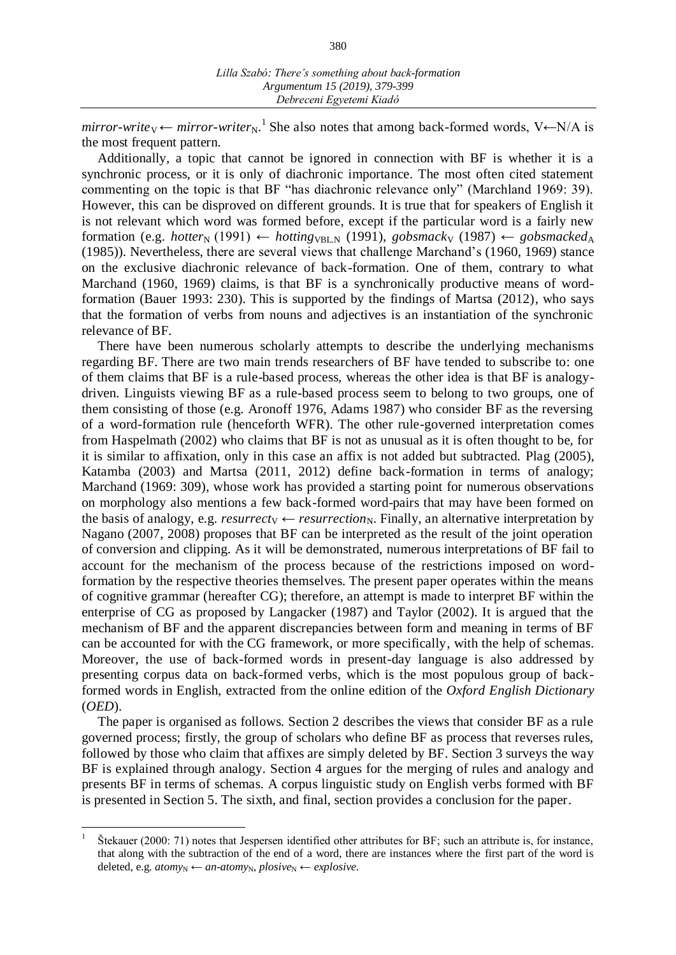$mirror-write_V \leftarrow mirror-writer_N$ <sup>1</sup>. She also notes that among back-formed words, V $\leftarrow$ N/A is the most frequent pattern.

Additionally, a topic that cannot be ignored in connection with BF is whether it is a synchronic process, or it is only of diachronic importance. The most often cited statement commenting on the topic is that BF "has diachronic relevance only" (Marchland 1969: 39). However, this can be disproved on different grounds. It is true that for speakers of English it is not relevant which word was formed before, except if the particular word is a fairly new formation (e.g. *hotter*<sub>N</sub> (1991) ← *hotting*<sub>VBLN</sub> (1991), *gobsmack*<sub>V</sub> (1987) ← *gobsmacked*<sub>A</sub> (1985)). Nevertheless, there are several views that challenge Marchand's (1960, 1969) stance on the exclusive diachronic relevance of back-formation. One of them, contrary to what Marchand (1960, 1969) claims, is that BF is a synchronically productive means of wordformation (Bauer 1993: 230). This is supported by the findings of Martsa (2012), who says that the formation of verbs from nouns and adjectives is an instantiation of the synchronic relevance of BF.

There have been numerous scholarly attempts to describe the underlying mechanisms regarding BF. There are two main trends researchers of BF have tended to subscribe to: one of them claims that BF is a rule-based process, whereas the other idea is that BF is analogydriven. Linguists viewing BF as a rule-based process seem to belong to two groups, one of them consisting of those (e.g. Aronoff 1976, Adams 1987) who consider BF as the reversing of a word-formation rule (henceforth WFR). The other rule-governed interpretation comes from Haspelmath (2002) who claims that BF is not as unusual as it is often thought to be, for it is similar to affixation, only in this case an affix is not added but subtracted. Plag (2005), Katamba (2003) and Martsa (2011, 2012) define back-formation in terms of analogy; Marchand (1969: 309), whose work has provided a starting point for numerous observations on morphology also mentions a few back-formed word-pairs that may have been formed on the basis of analogy, e.g. *resurrecty*  $\leftarrow$  *resurrection<sub>N</sub>*. Finally, an alternative interpretation by Nagano (2007, 2008) proposes that BF can be interpreted as the result of the joint operation of conversion and clipping. As it will be demonstrated, numerous interpretations of BF fail to account for the mechanism of the process because of the restrictions imposed on wordformation by the respective theories themselves. The present paper operates within the means of cognitive grammar (hereafter CG); therefore, an attempt is made to interpret BF within the enterprise of CG as proposed by Langacker (1987) and Taylor (2002). It is argued that the mechanism of BF and the apparent discrepancies between form and meaning in terms of BF can be accounted for with the CG framework, or more specifically, with the help of schemas. Moreover, the use of back-formed words in present-day language is also addressed by presenting corpus data on back-formed verbs, which is the most populous group of backformed words in English, extracted from the online edition of the *Oxford English Dictionary*  (*OED*).

The paper is organised as follows. Section 2 describes the views that consider BF as a rule governed process; firstly, the group of scholars who define BF as process that reverses rules, followed by those who claim that affixes are simply deleted by BF. Section 3 surveys the way BF is explained through analogy. Section 4 argues for the merging of rules and analogy and presents BF in terms of schemas. A corpus linguistic study on English verbs formed with BF is presented in Section 5. The sixth, and final, section provides a conclusion for the paper.

<u>.</u>

<sup>1</sup> Štekauer (2000: 71) notes that Jespersen identified other attributes for BF; such an attribute is, for instance, that along with the subtraction of the end of a word, there are instances where the first part of the word is deleted, e.g.  $atom_{yN}$  ←  $an\text{-}atom_{yN}$ ,  $plosive_N$  ←  $explosive$ .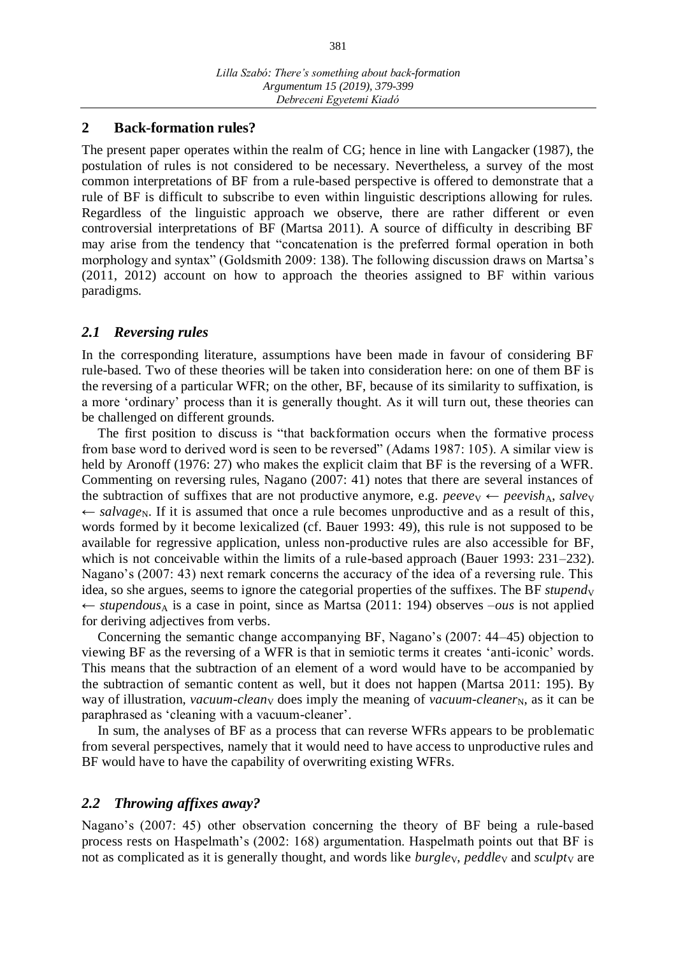#### **2 Back-formation rules?**

The present paper operates within the realm of CG; hence in line with Langacker (1987), the postulation of rules is not considered to be necessary. Nevertheless, a survey of the most common interpretations of BF from a rule-based perspective is offered to demonstrate that a rule of BF is difficult to subscribe to even within linguistic descriptions allowing for rules. Regardless of the linguistic approach we observe, there are rather different or even controversial interpretations of BF (Martsa 2011). A source of difficulty in describing BF may arise from the tendency that "concatenation is the preferred formal operation in both morphology and syntax" (Goldsmith 2009: 138). The following discussion draws on Martsa's (2011, 2012) account on how to approach the theories assigned to BF within various paradigms.

### *2.1 Reversing rules*

In the corresponding literature, assumptions have been made in favour of considering BF rule-based. Two of these theories will be taken into consideration here: on one of them BF is the reversing of a particular WFR; on the other, BF, because of its similarity to suffixation, is a more 'ordinary' process than it is generally thought. As it will turn out, these theories can be challenged on different grounds.

The first position to discuss is "that backformation occurs when the formative process from base word to derived word is seen to be reversed" (Adams 1987: 105). A similar view is held by Aronoff (1976: 27) who makes the explicit claim that BF is the reversing of a WFR. Commenting on reversing rules, Nagano (2007: 41) notes that there are several instances of the subtraction of suffixes that are not productive anymore, e.g. *peeve* $\vee$   $\leftarrow$  *peevish*<sub>A</sub>, *salve*<sub>V</sub>  $\leftarrow$  *salvage*<sub>N</sub>. If it is assumed that once a rule becomes unproductive and as a result of this, words formed by it become lexicalized (cf. Bauer 1993: 49), this rule is not supposed to be available for regressive application, unless non-productive rules are also accessible for BF, which is not conceivable within the limits of a rule-based approach (Bauer 1993: 231–232). Nagano's (2007: 43) next remark concerns the accuracy of the idea of a reversing rule. This idea, so she argues, seems to ignore the categorial properties of the suffixes. The BF *stupend*<sub>V</sub> ← *stupendous*<sup>A</sup> is a case in point, since as Martsa (2011: 194) observes  $-ous$  is not applied for deriving adjectives from verbs.

Concerning the semantic change accompanying BF, Nagano's (2007: 44–45) objection to viewing BF as the reversing of a WFR is that in semiotic terms it creates 'anti-iconic' words. This means that the subtraction of an element of a word would have to be accompanied by the subtraction of semantic content as well, but it does not happen (Martsa 2011: 195). By way of illustration, *vacuum-clean*<sub>V</sub> does imply the meaning of *vacuum-cleaner*<sub>N</sub>, as it can be paraphrased as 'cleaning with a vacuum-cleaner'.

In sum, the analyses of BF as a process that can reverse WFRs appears to be problematic from several perspectives, namely that it would need to have access to unproductive rules and BF would have to have the capability of overwriting existing WFRs.

#### *2.2 Throwing affixes away?*

Nagano's (2007: 45) other observation concerning the theory of BF being a rule-based process rests on Haspelmath's (2002: 168) argumentation. Haspelmath points out that BF is not as complicated as it is generally thought, and words like *burgley*, *peddley* and *sculpty* are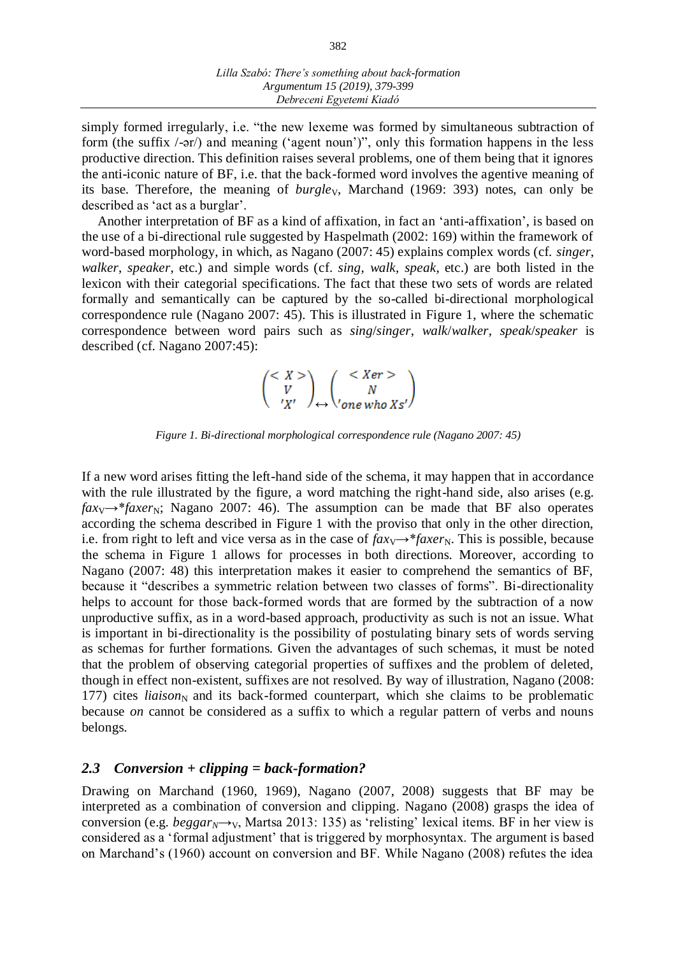simply formed irregularly, i.e. "the new lexeme was formed by simultaneous subtraction of form (the suffix /-ər/) and meaning ('agent noun')", only this formation happens in the less productive direction. This definition raises several problems, one of them being that it ignores the anti-iconic nature of BF, i.e. that the back-formed word involves the agentive meaning of its base. Therefore, the meaning of *burgley*, Marchand (1969: 393) notes, can only be described as 'act as a burglar'.

Another interpretation of BF as a kind of affixation, in fact an 'anti-affixation', is based on the use of a bi-directional rule suggested by Haspelmath (2002: 169) within the framework of word-based morphology, in which, as Nagano (2007: 45) explains complex words (cf. *singer*, *walker*, *speaker*, etc.) and simple words (cf. *sing*, *walk*, *speak*, etc.) are both listed in the lexicon with their categorial specifications. The fact that these two sets of words are related formally and semantically can be captured by the so-called bi-directional morphological correspondence rule (Nagano 2007: 45). This is illustrated in Figure 1, where the schematic correspondence between word pairs such as *sing*/*singer*, *walk*/*walker*, *speak*/*speaker* is described (cf. Nagano 2007:45):

↔

*Figure 1. Bi-directional morphological correspondence rule (Nagano 2007: 45)*

If a new word arises fitting the left-hand side of the schema, it may happen that in accordance with the rule illustrated by the figure, a word matching the right-hand side, also arises (e.g.  $fax_V \rightarrow^*faxer_N$ ; Nagano 2007: 46). The assumption can be made that BF also operates according the schema described in Figure 1 with the proviso that only in the other direction, i.e. from right to left and vice versa as in the case of  $faxy \rightarrow *faxer_N$ . This is possible, because the schema in Figure 1 allows for processes in both directions. Moreover, according to Nagano (2007: 48) this interpretation makes it easier to comprehend the semantics of BF, because it "describes a symmetric relation between two classes of forms". Bi-directionality helps to account for those back-formed words that are formed by the subtraction of a now unproductive suffix, as in a word-based approach, productivity as such is not an issue. What is important in bi-directionality is the possibility of postulating binary sets of words serving as schemas for further formations. Given the advantages of such schemas, it must be noted that the problem of observing categorial properties of suffixes and the problem of deleted, though in effect non-existent, suffixes are not resolved. By way of illustration, Nagano (2008: 177) cites *liaison*<sub>N</sub> and its back-formed counterpart, which she claims to be problematic because *on* cannot be considered as a suffix to which a regular pattern of verbs and nouns belongs.

#### *2.3 Conversion + clipping = back-formation?*

Drawing on Marchand (1960, 1969), Nagano (2007, 2008) suggests that BF may be interpreted as a combination of conversion and clipping. Nagano (2008) grasps the idea of conversion (e.g.  $beggar_N \rightarrow_V$ , Martsa 2013: 135) as 'relisting' lexical items. BF in her view is considered as a 'formal adjustment' that is triggered by morphosyntax. The argument is based on Marchand's (1960) account on conversion and BF. While Nagano (2008) refutes the idea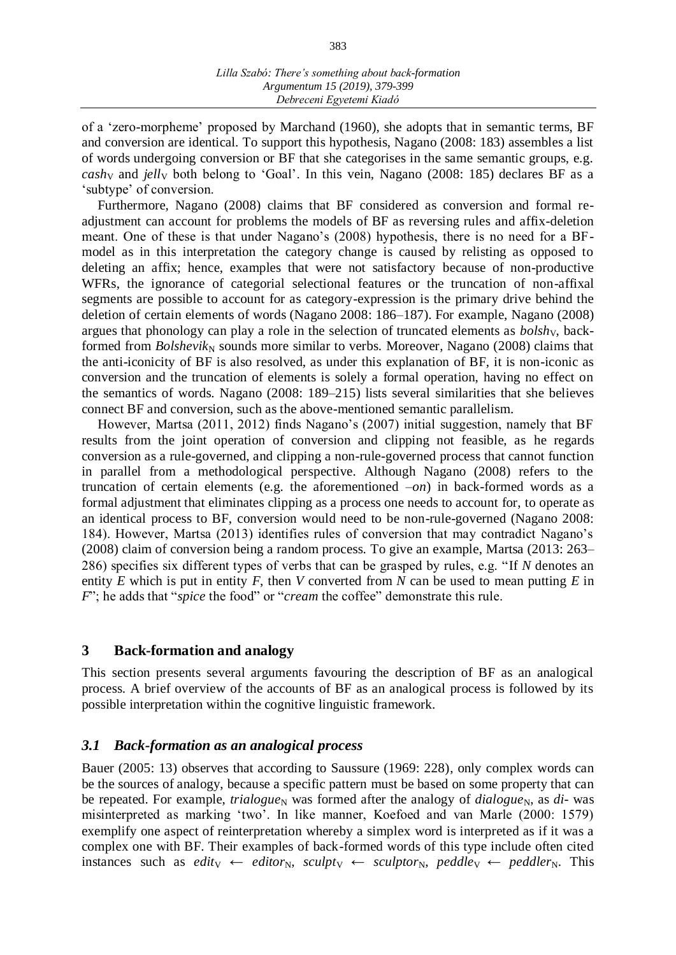of a 'zero-morpheme' proposed by Marchand (1960), she adopts that in semantic terms, BF and conversion are identical. To support this hypothesis, Nagano (2008: 183) assembles a list of words undergoing conversion or BF that she categorises in the same semantic groups, e.g. *cashy* and *jelly* both belong to 'Goal'. In this vein, Nagano (2008: 185) declares BF as a 'subtype' of conversion.

Furthermore, Nagano (2008) claims that BF considered as conversion and formal readjustment can account for problems the models of BF as reversing rules and affix-deletion meant. One of these is that under Nagano's (2008) hypothesis, there is no need for a BFmodel as in this interpretation the category change is caused by relisting as opposed to deleting an affix; hence, examples that were not satisfactory because of non-productive WFRs, the ignorance of categorial selectional features or the truncation of non-affixal segments are possible to account for as category-expression is the primary drive behind the deletion of certain elements of words (Nagano 2008: 186–187). For example, Nagano (2008) argues that phonology can play a role in the selection of truncated elements as *bolshy*, backformed from *Bolshevik*<sub>N</sub> sounds more similar to verbs. Moreover, Nagano (2008) claims that the anti-iconicity of BF is also resolved, as under this explanation of BF, it is non-iconic as conversion and the truncation of elements is solely a formal operation, having no effect on the semantics of words. Nagano (2008: 189–215) lists several similarities that she believes connect BF and conversion, such as the above-mentioned semantic parallelism.

However, Martsa (2011, 2012) finds Nagano's (2007) initial suggestion, namely that BF results from the joint operation of conversion and clipping not feasible, as he regards conversion as a rule-governed, and clipping a non-rule-governed process that cannot function in parallel from a methodological perspective. Although Nagano (2008) refers to the truncation of certain elements (e.g. the aforementioned –*on*) in back-formed words as a formal adjustment that eliminates clipping as a process one needs to account for, to operate as an identical process to BF, conversion would need to be non-rule-governed (Nagano 2008: 184). However, Martsa (2013) identifies rules of conversion that may contradict Nagano's (2008) claim of conversion being a random process. To give an example, Martsa (2013: 263– 286) specifies six different types of verbs that can be grasped by rules, e.g. "If *N* denotes an entity *E* which is put in entity *F*, then *V* converted from *N* can be used to mean putting *E* in *F*"; he adds that "*spice* the food" or "*cream* the coffee" demonstrate this rule.

#### **3 Back-formation and analogy**

This section presents several arguments favouring the description of BF as an analogical process. A brief overview of the accounts of BF as an analogical process is followed by its possible interpretation within the cognitive linguistic framework.

#### *3.1 Back-formation as an analogical process*

Bauer (2005: 13) observes that according to Saussure (1969: 228), only complex words can be the sources of analogy, because a specific pattern must be based on some property that can be repeated. For example, *trialogue*<sub>N</sub> was formed after the analogy of *dialogue*<sub>N</sub>, as *di*- was misinterpreted as marking 'two'. In like manner, Koefoed and van Marle (2000: 1579) exemplify one aspect of reinterpretation whereby a simplex word is interpreted as if it was a complex one with BF. Their examples of back-formed words of this type include often cited instances such as *edity*  $\leftarrow$  *editor<sub>N</sub>, sculpty*  $\leftarrow$  *sculptor<sub>N</sub>, peddley*  $\leftarrow$  *peddler<sub>N</sub>. This*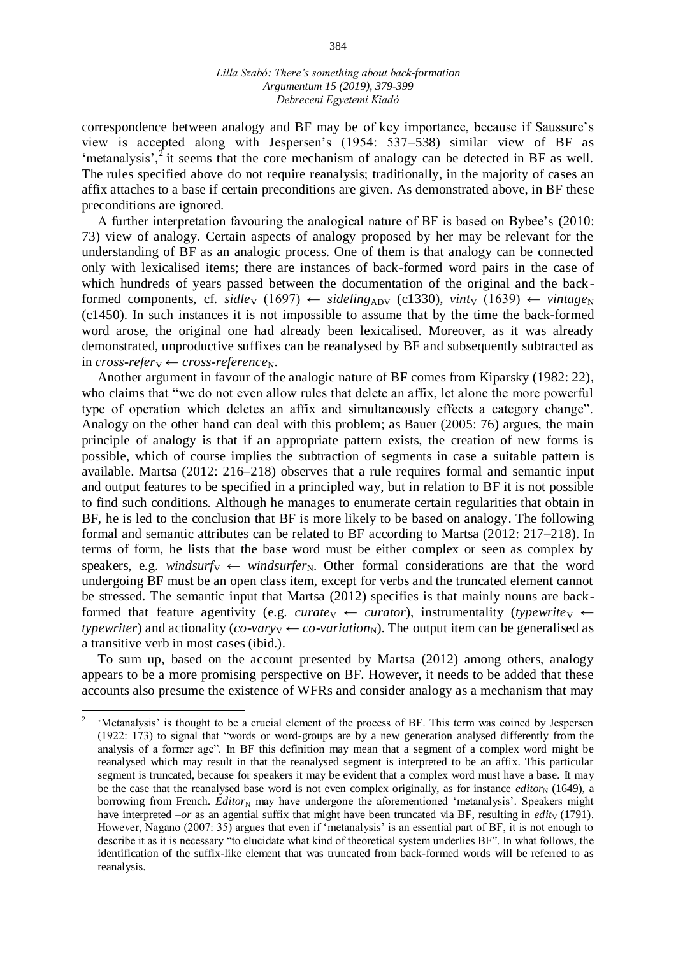correspondence between analogy and BF may be of key importance, because if Saussure's view is accepted along with Jespersen's (1954: 537–538) similar view of BF as 'metanalysis',<sup>2</sup> it seems that the core mechanism of analogy can be detected in BF as well. The rules specified above do not require reanalysis; traditionally, in the majority of cases an affix attaches to a base if certain preconditions are given. As demonstrated above, in BF these preconditions are ignored.

A further interpretation favouring the analogical nature of BF is based on Bybee's (2010: 73) view of analogy. Certain aspects of analogy proposed by her may be relevant for the understanding of BF as an analogic process. One of them is that analogy can be connected only with lexicalised items; there are instances of back-formed word pairs in the case of which hundreds of years passed between the documentation of the original and the backformed components, cf. *sidle*<sub>V</sub> (1697)  $\leftarrow$  *sideling*<sub>ADV</sub> (c1330), *vint*<sub>V</sub> (1639)  $\leftarrow$  *vintage*<sub>N</sub> (c1450). In such instances it is not impossible to assume that by the time the back-formed word arose, the original one had already been lexicalised. Moreover, as it was already demonstrated, unproductive suffixes can be reanalysed by BF and subsequently subtracted as  $incross-referv \leftarrow cross-reference<sub>N</sub>.$ 

Another argument in favour of the analogic nature of BF comes from Kiparsky (1982: 22), who claims that "we do not even allow rules that delete an affix, let alone the more powerful type of operation which deletes an affix and simultaneously effects a category change". Analogy on the other hand can deal with this problem; as Bauer (2005: 76) argues, the main principle of analogy is that if an appropriate pattern exists, the creation of new forms is possible, which of course implies the subtraction of segments in case a suitable pattern is available. Martsa (2012: 216–218) observes that a rule requires formal and semantic input and output features to be specified in a principled way, but in relation to BF it is not possible to find such conditions. Although he manages to enumerate certain regularities that obtain in BF, he is led to the conclusion that BF is more likely to be based on analogy. The following formal and semantic attributes can be related to BF according to Martsa (2012: 217–218). In terms of form, he lists that the base word must be either complex or seen as complex by speakers, e.g. *windsurfy*  $\leftarrow$  *windsurfer<sub>N</sub>*. Other formal considerations are that the word undergoing BF must be an open class item, except for verbs and the truncated element cannot be stressed. The semantic input that Martsa (2012) specifies is that mainly nouns are backformed that feature agentivity (e.g. *curate*<sub>V</sub> ← *curator*), instrumentality (*typewrite*<sub>V</sub> ← *typewriter*) and actionality (*co-vary*<sub>V</sub> ← *co-variation*<sub>N</sub>). The output item can be generalised as a transitive verb in most cases (ibid.).

To sum up, based on the account presented by Martsa (2012) among others, analogy appears to be a more promising perspective on BF. However, it needs to be added that these accounts also presume the existence of WFRs and consider analogy as a mechanism that may

<u>.</u>

<sup>2</sup> 'Metanalysis' is thought to be a crucial element of the process of BF. This term was coined by Jespersen (1922: 173) to signal that "words or word-groups are by a new generation analysed differently from the analysis of a former age". In BF this definition may mean that a segment of a complex word might be reanalysed which may result in that the reanalysed segment is interpreted to be an affix. This particular segment is truncated, because for speakers it may be evident that a complex word must have a base. It may be the case that the reanalysed base word is not even complex originally, as for instance *editor*<sub>N</sub> (1649), a borrowing from French. *Editor*<sub>N</sub> may have undergone the aforementioned 'metanalysis'. Speakers might have interpreted  $-or$  as an agential suffix that might have been truncated via BF, resulting in *edity* (1791). However, Nagano (2007: 35) argues that even if 'metanalysis' is an essential part of BF, it is not enough to describe it as it is necessary "to elucidate what kind of theoretical system underlies BF". In what follows, the identification of the suffix-like element that was truncated from back-formed words will be referred to as reanalysis.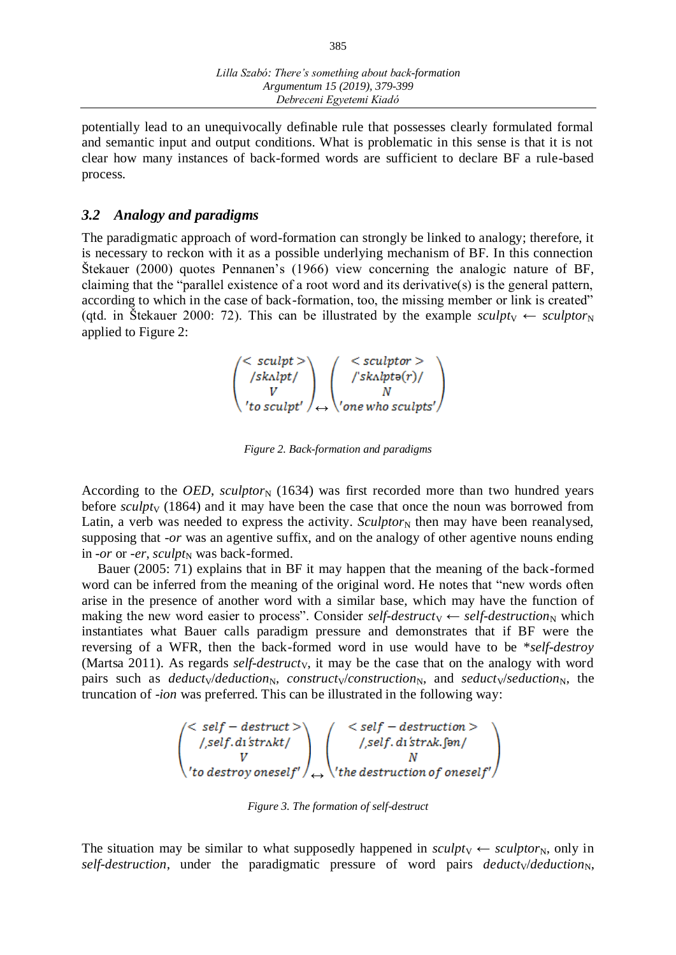potentially lead to an unequivocally definable rule that possesses clearly formulated formal and semantic input and output conditions. What is problematic in this sense is that it is not clear how many instances of back-formed words are sufficient to declare BF a rule-based process.

#### *3.2 Analogy and paradigms*

The paradigmatic approach of word-formation can strongly be linked to analogy; therefore, it is necessary to reckon with it as a possible underlying mechanism of BF. In this connection Štekauer (2000) quotes Pennanen's (1966) view concerning the analogic nature of BF, claiming that the "parallel existence of a root word and its derivative(s) is the general pattern, according to which in the case of back-formation, too, the missing member or link is created" (qtd. in Štekauer 2000: 72). This can be illustrated by the example *sculpt* $\vee$   $\leftarrow$  *sculptor*<sub>N</sub> applied to Figure 2:

$$
\begin{pmatrix} < \textit{sculpt} \\ \textit{fskulpt} \\ V \\ \textit{to sculpt'} \end{pmatrix} \longleftrightarrow \begin{pmatrix} < \textit{sculptor} \\ \textit{fskulpto}(r) / \\ N \\ \textit{one who sculpt'} \end{pmatrix}
$$

*Figure 2. Back-formation and paradigms*

According to the *OED*, *sculptor*<sub>N</sub> (1634) was first recorded more than two hundred years before *sculpty* (1864) and it may have been the case that once the noun was borrowed from Latin, a verb was needed to express the activity.  $Sculptor_N$  then may have been reanalysed, supposing that *-or* was an agentive suffix, and on the analogy of other agentive nouns ending in *-or* or *-er*, *sculpt*<sub>N</sub> was back-formed.

Bauer (2005: 71) explains that in BF it may happen that the meaning of the back-formed word can be inferred from the meaning of the original word. He notes that "new words often arise in the presence of another word with a similar base, which may have the function of making the new word easier to process". Consider *self-destructy*  $\leftarrow$  *self-destruction*<sub>N</sub> which instantiates what Bauer calls paradigm pressure and demonstrates that if BF were the reversing of a WFR, then the back-formed word in use would have to be \**self-destroy*  (Martsa 2011). As regards *self-destructy*, it may be the case that on the analogy with word pairs such as *deducty/deduction<sub>N</sub>, constructy/construction<sub>N</sub>, and <i>seducty/seduction<sub>N</sub>*, the truncation of -*ion* was preferred. This can be illustrated in the following way:

$$
\begin{pmatrix}\n< self - destruct > \\
\text{1, self. d1's trakt} \\
V \\
'to destroy oneself'\n\end{pmatrix}\n\begin{pmatrix}\n< self - destruction > \\
\text{1, self. d1's trak. [5m]} \\
N \\
\text{2, the destruction of oneself'\n\end{pmatrix}
$$

*Figure 3. The formation of self-destruct*

The situation may be similar to what supposedly happened in  $\textit{sculptv} \leftarrow \textit{sculptor}_{N}$ , only in *self-destruction*, under the paradigmatic pressure of word pairs *deduct* $\sqrt{deduction_N}$ ,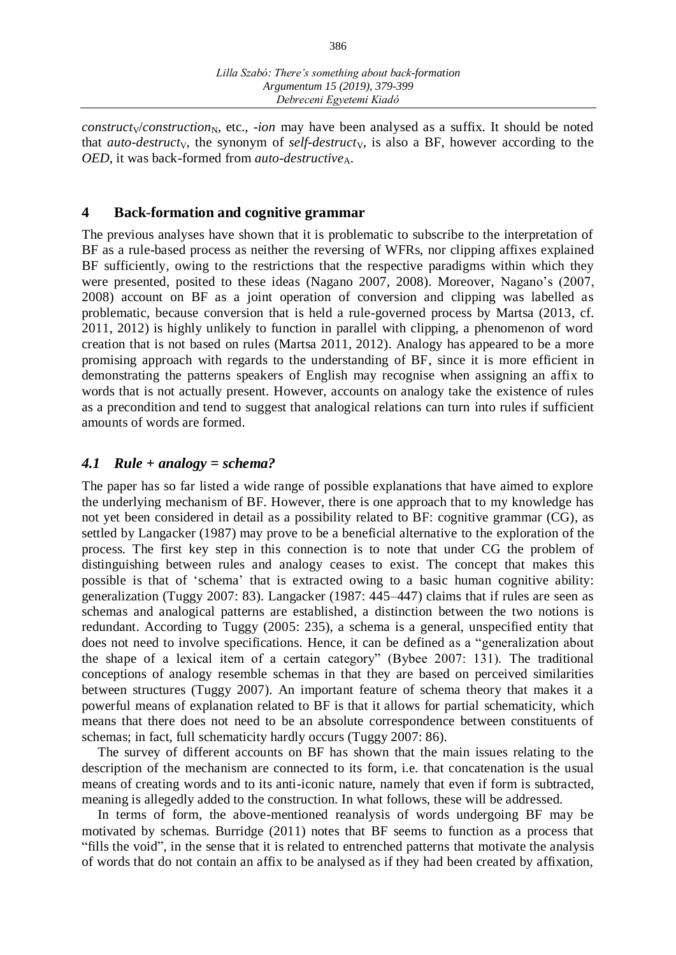$construct_V/construction_N$ , etc., *-ion* may have been analysed as a suffix. It should be noted that *auto-destructy*, the synonym of *self-destructy*, is also a BF, however according to the *OED*, it was back-formed from *auto-destructive*<sub>A</sub>.

#### **4 Back-formation and cognitive grammar**

The previous analyses have shown that it is problematic to subscribe to the interpretation of BF as a rule-based process as neither the reversing of WFRs, nor clipping affixes explained BF sufficiently, owing to the restrictions that the respective paradigms within which they were presented, posited to these ideas (Nagano 2007, 2008). Moreover, Nagano's (2007, 2008) account on BF as a joint operation of conversion and clipping was labelled as problematic, because conversion that is held a rule-governed process by Martsa (2013, cf. 2011, 2012) is highly unlikely to function in parallel with clipping, a phenomenon of word creation that is not based on rules (Martsa 2011, 2012). Analogy has appeared to be a more promising approach with regards to the understanding of BF, since it is more efficient in demonstrating the patterns speakers of English may recognise when assigning an affix to words that is not actually present. However, accounts on analogy take the existence of rules as a precondition and tend to suggest that analogical relations can turn into rules if sufficient amounts of words are formed.

#### *4.1 Rule + analogy = schema?*

The paper has so far listed a wide range of possible explanations that have aimed to explore the underlying mechanism of BF. However, there is one approach that to my knowledge has not yet been considered in detail as a possibility related to BF: cognitive grammar (CG), as settled by Langacker (1987) may prove to be a beneficial alternative to the exploration of the process. The first key step in this connection is to note that under CG the problem of distinguishing between rules and analogy ceases to exist. The concept that makes this possible is that of 'schema' that is extracted owing to a basic human cognitive ability: generalization (Tuggy 2007: 83). Langacker (1987: 445–447) claims that if rules are seen as schemas and analogical patterns are established, a distinction between the two notions is redundant. According to Tuggy (2005: 235), a schema is a general, unspecified entity that does not need to involve specifications. Hence, it can be defined as a "generalization about the shape of a lexical item of a certain category" (Bybee 2007: 131). The traditional conceptions of analogy resemble schemas in that they are based on perceived similarities between structures (Tuggy 2007). An important feature of schema theory that makes it a powerful means of explanation related to BF is that it allows for partial schematicity, which means that there does not need to be an absolute correspondence between constituents of schemas; in fact, full schematicity hardly occurs (Tuggy 2007: 86).

The survey of different accounts on BF has shown that the main issues relating to the description of the mechanism are connected to its form, i.e. that concatenation is the usual means of creating words and to its anti-iconic nature, namely that even if form is subtracted, meaning is allegedly added to the construction. In what follows, these will be addressed.

In terms of form, the above-mentioned reanalysis of words undergoing BF may be motivated by schemas. Burridge (2011) notes that BF seems to function as a process that "fills the void", in the sense that it is related to entrenched patterns that motivate the analysis of words that do not contain an affix to be analysed as if they had been created by affixation,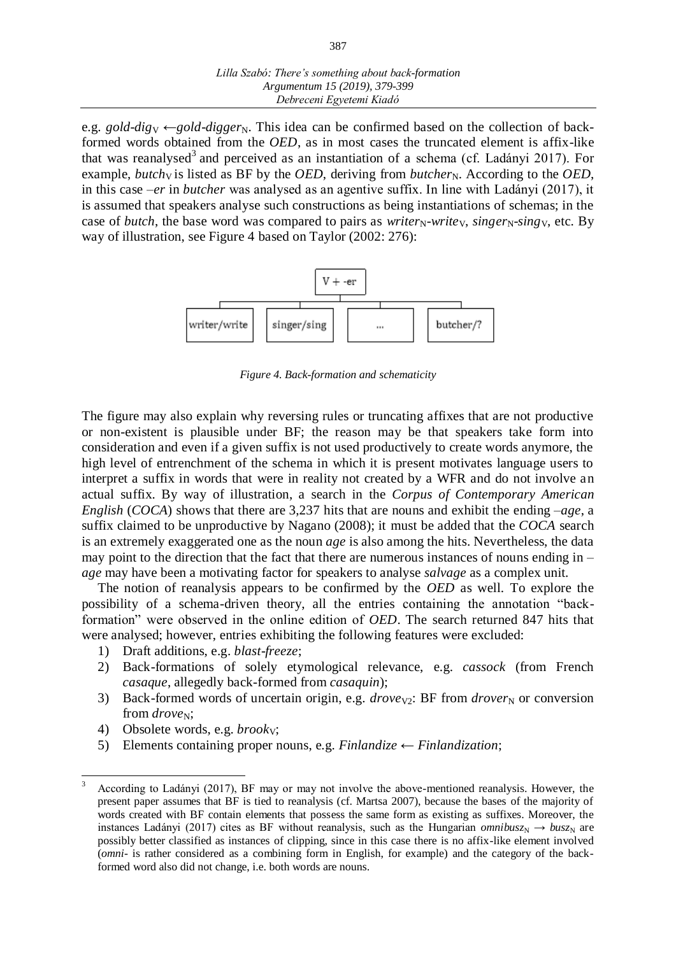e.g. *gold-dig*<sub>V</sub>  $\leftarrow$ *gold-digger*<sub>N</sub>. This idea can be confirmed based on the collection of backformed words obtained from the *OED*, as in most cases the truncated element is affix-like that was reanalysed<sup>3</sup> and perceived as an instantiation of a schema (cf. Ladányi 2017). For example, *butch*<sub>V</sub> is listed as BF by the *OED*, deriving from *butcher*<sub>N</sub>. According to the *OED*, in this case –*er* in *butcher* was analysed as an agentive suffix. In line with Ladányi (2017), it is assumed that speakers analyse such constructions as being instantiations of schemas; in the case of *butch*, the base word was compared to pairs as *writer<sub>N</sub>*-write<sub>V</sub>, singer<sub>N</sub>-sing<sub>V</sub>, etc. By way of illustration, see Figure 4 based on Taylor (2002: 276):



*Figure 4. Back-formation and schematicity*

The figure may also explain why reversing rules or truncating affixes that are not productive or non-existent is plausible under BF; the reason may be that speakers take form into consideration and even if a given suffix is not used productively to create words anymore, the high level of entrenchment of the schema in which it is present motivates language users to interpret a suffix in words that were in reality not created by a WFR and do not involve an actual suffix. By way of illustration, a search in the *Corpus of Contemporary American English* (*COCA*) shows that there are 3,237 hits that are nouns and exhibit the ending –*age*, a suffix claimed to be unproductive by Nagano (2008); it must be added that the *COCA* search is an extremely exaggerated one as the noun *age* is also among the hits. Nevertheless, the data may point to the direction that the fact that there are numerous instances of nouns ending in – *age* may have been a motivating factor for speakers to analyse *salvage* as a complex unit.

The notion of reanalysis appears to be confirmed by the *OED* as well. To explore the possibility of a schema-driven theory, all the entries containing the annotation "backformation" were observed in the online edition of *OED*. The search returned 847 hits that were analysed; however, entries exhibiting the following features were excluded:

- 1) Draft additions, e.g. *blast*-*freeze*;
- 2) Back-formations of solely etymological relevance, e.g. *cassock* (from French *casaque*, allegedly back-formed from *casaquin*);
- 3) Back-formed words of uncertain origin, e.g. *drove*<sub>V2</sub>: BF from *drover*<sub>N</sub> or conversion from *drove*<sub>N</sub>;
- 4) Obsolete words, e.g. *brook*<sub>V</sub>;

<u>.</u>

5) Elements containing proper nouns, e.g. *Finlandize* ← *Finlandization*;

<sup>3</sup> According to Ladányi (2017), BF may or may not involve the above-mentioned reanalysis. However, the present paper assumes that BF is tied to reanalysis (cf. Martsa 2007), because the bases of the majority of words created with BF contain elements that possess the same form as existing as suffixes. Moreover, the instances Ladányi (2017) cites as BF without reanalysis, such as the Hungarian *omnibusz*<sub>N</sub>  $\rightarrow$  *busz*<sub>N</sub> are possibly better classified as instances of clipping, since in this case there is no affix-like element involved (*omni*- is rather considered as a combining form in English, for example) and the category of the backformed word also did not change, i.e. both words are nouns.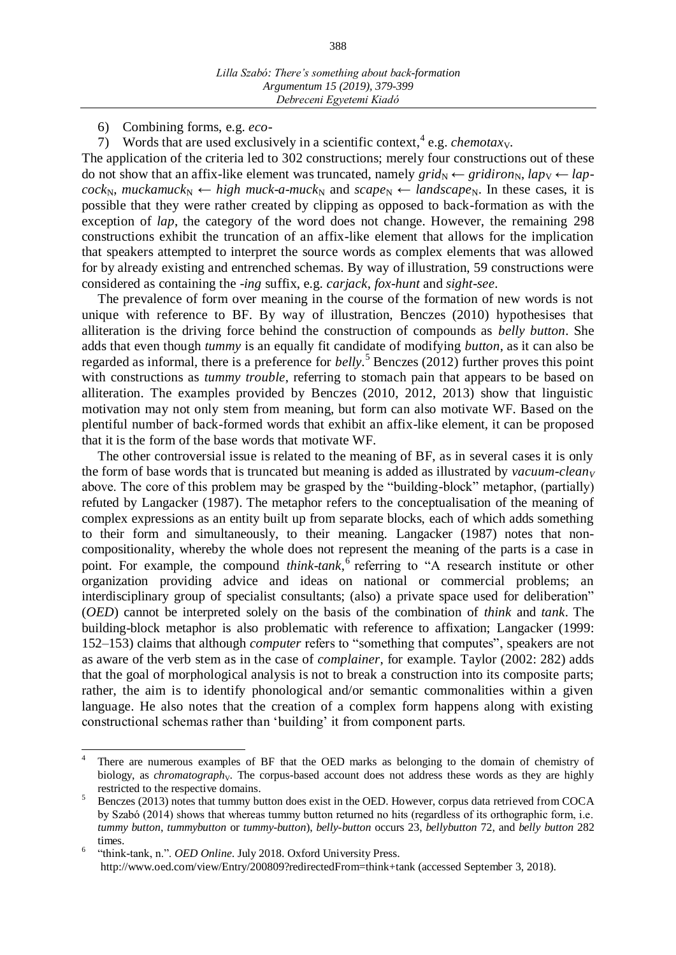6) Combining forms, e.g. *eco*-

<u>.</u>

7) Words that are used exclusively in a scientific context,  $^{4}$  e.g. *chemotaxy*.

The application of the criteria led to 302 constructions; merely four constructions out of these do not show that an affix-like element was truncated, namely  $grid_N \leftarrow gridion_N$ ,  $lap_V \leftarrow lap_V$  $cock_{N}$ , *muckamuck*<sub>N</sub> ← *high muck-a-muck*<sub>N</sub> and  $scape_{N}$  ← *landscape*<sub>N</sub>. In these cases, it is possible that they were rather created by clipping as opposed to back-formation as with the exception of *lap*, the category of the word does not change. However, the remaining 298 constructions exhibit the truncation of an affix-like element that allows for the implication that speakers attempted to interpret the source words as complex elements that was allowed for by already existing and entrenched schemas. By way of illustration, 59 constructions were considered as containing the -*ing* suffix, e.g. *carjack*, *fox*-*hunt* and *sight*-*see*.

The prevalence of form over meaning in the course of the formation of new words is not unique with reference to BF. By way of illustration, Benczes (2010) hypothesises that alliteration is the driving force behind the construction of compounds as *belly button*. She adds that even though *tummy* is an equally fit candidate of modifying *button*, as it can also be regarded as informal, there is a preference for *belly.* <sup>5</sup> Benczes (2012) further proves this point with constructions as *tummy trouble*, referring to stomach pain that appears to be based on alliteration. The examples provided by Benczes (2010, 2012, 2013) show that linguistic motivation may not only stem from meaning, but form can also motivate WF. Based on the plentiful number of back-formed words that exhibit an affix-like element, it can be proposed that it is the form of the base words that motivate WF.

The other controversial issue is related to the meaning of BF, as in several cases it is only the form of base words that is truncated but meaning is added as illustrated by *vacuum-clean<sup>V</sup>* above. The core of this problem may be grasped by the "building-block" metaphor, (partially) refuted by Langacker (1987). The metaphor refers to the conceptualisation of the meaning of complex expressions as an entity built up from separate blocks, each of which adds something to their form and simultaneously, to their meaning. Langacker (1987) notes that noncompositionality, whereby the whole does not represent the meaning of the parts is a case in point. For example, the compound *think-tank*, referring to "A research institute or other organization providing advice and ideas on national or commercial problems; an interdisciplinary group of specialist consultants; (also) a private space used for deliberation" (*OED*) cannot be interpreted solely on the basis of the combination of *think* and *tank*. The building-block metaphor is also problematic with reference to affixation; Langacker (1999: 152–153) claims that although *computer* refers to "something that computes", speakers are not as aware of the verb stem as in the case of *complainer*, for example. Taylor (2002: 282) adds that the goal of morphological analysis is not to break a construction into its composite parts; rather, the aim is to identify phonological and/or semantic commonalities within a given language. He also notes that the creation of a complex form happens along with existing constructional schemas rather than 'building' it from component parts.

<sup>4</sup> There are numerous examples of BF that the OED marks as belonging to the domain of chemistry of biology, as *chromatography*. The corpus-based account does not address these words as they are highly restricted to the respective domains.

<sup>&</sup>lt;sup>5</sup> Benczes (2013) notes that tummy button does exist in the OED. However, corpus data retrieved from COCA by Szabó (2014) shows that whereas tummy button returned no hits (regardless of its orthographic form, i.e. *tummy button*, *tummybutton* or *tummy*-*button*), *belly*-*button* occurs 23, *bellybutton* 72, and *belly button* 282 times.

<sup>6</sup> "think-tank, n.". *OED Online*. July 2018. Oxford University Press. http://www.oed.com/view/Entry/200809?redirectedFrom=think+tank (accessed September 3, 2018).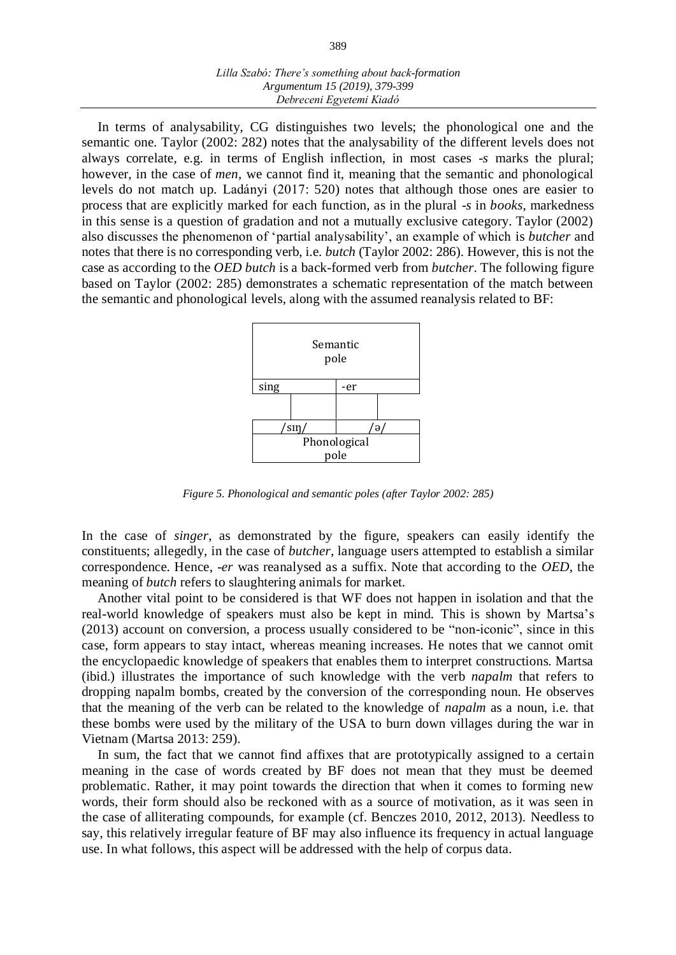| Lilla Szabó: There's something about back-formation |
|-----------------------------------------------------|
| Argumentum 15 (2019), 379-399                       |
| Debreceni Egyetemi Kiadó                            |

In terms of analysability, CG distinguishes two levels; the phonological one and the semantic one. Taylor (2002: 282) notes that the analysability of the different levels does not always correlate, e.g. in terms of English inflection, in most cases -*s* marks the plural; however, in the case of *men*, we cannot find it, meaning that the semantic and phonological levels do not match up. Ladányi (2017: 520) notes that although those ones are easier to process that are explicitly marked for each function, as in the plural -*s* in *books*, markedness in this sense is a question of gradation and not a mutually exclusive category. Taylor (2002) also discusses the phenomenon of 'partial analysability', an example of which is *butcher* and notes that there is no corresponding verb, i.e. *butch* (Taylor 2002: 286). However, this is not the case as according to the *OED butch* is a back-formed verb from *butcher*. The following figure based on Taylor (2002: 285) demonstrates a schematic representation of the match between the semantic and phonological levels, along with the assumed reanalysis related to BF:



*Figure 5. Phonological and semantic poles (after Taylor 2002: 285)*

In the case of *singer*, as demonstrated by the figure, speakers can easily identify the constituents; allegedly, in the case of *butcher*, language users attempted to establish a similar correspondence. Hence, -*er* was reanalysed as a suffix. Note that according to the *OED*, the meaning of *butch* refers to slaughtering animals for market.

Another vital point to be considered is that WF does not happen in isolation and that the real-world knowledge of speakers must also be kept in mind. This is shown by Martsa's (2013) account on conversion, a process usually considered to be "non-iconic", since in this case, form appears to stay intact, whereas meaning increases. He notes that we cannot omit the encyclopaedic knowledge of speakers that enables them to interpret constructions. Martsa (ibid.) illustrates the importance of such knowledge with the verb *napalm* that refers to dropping napalm bombs, created by the conversion of the corresponding noun. He observes that the meaning of the verb can be related to the knowledge of *napalm* as a noun, i.e. that these bombs were used by the military of the USA to burn down villages during the war in Vietnam (Martsa 2013: 259).

In sum, the fact that we cannot find affixes that are prototypically assigned to a certain meaning in the case of words created by BF does not mean that they must be deemed problematic. Rather, it may point towards the direction that when it comes to forming new words, their form should also be reckoned with as a source of motivation, as it was seen in the case of alliterating compounds, for example (cf. Benczes 2010, 2012, 2013). Needless to say, this relatively irregular feature of BF may also influence its frequency in actual language use. In what follows, this aspect will be addressed with the help of corpus data.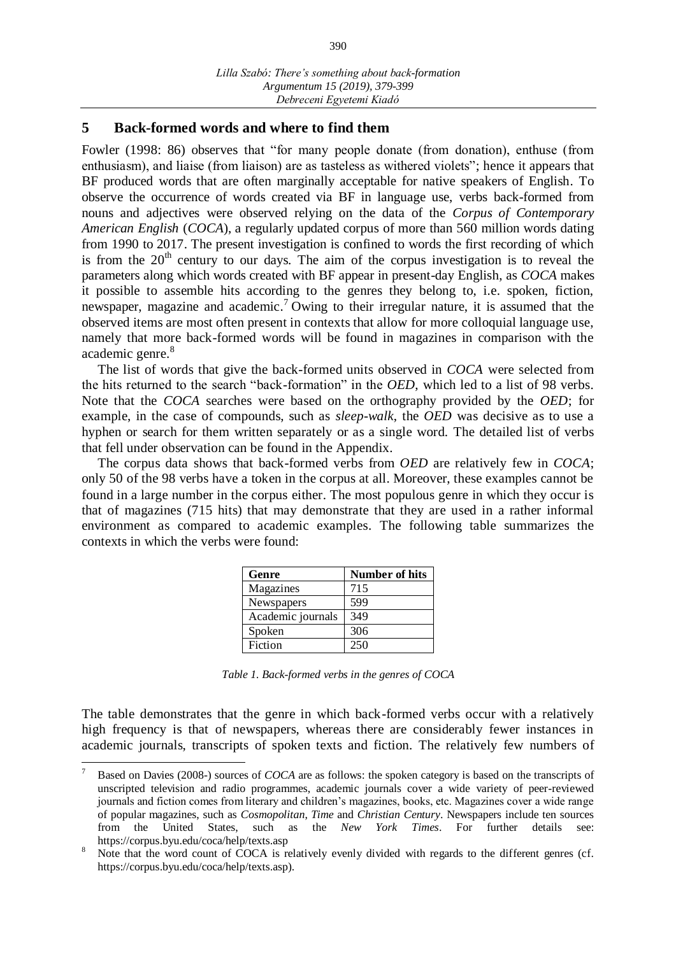### **5 Back-formed words and where to find them**

Fowler (1998: 86) observes that "for many people donate (from donation), enthuse (from enthusiasm), and liaise (from liaison) are as tasteless as withered violets"; hence it appears that BF produced words that are often marginally acceptable for native speakers of English. To observe the occurrence of words created via BF in language use, verbs back-formed from nouns and adjectives were observed relying on the data of the *Corpus of Contemporary American English* (*COCA*), a regularly updated corpus of more than 560 million words dating from 1990 to 2017. The present investigation is confined to words the first recording of which is from the  $20<sup>th</sup>$  century to our days. The aim of the corpus investigation is to reveal the parameters along which words created with BF appear in present-day English, as *COCA* makes it possible to assemble hits according to the genres they belong to, i.e. spoken, fiction, newspaper, magazine and academic.<sup>7</sup> Owing to their irregular nature, it is assumed that the observed items are most often present in contexts that allow for more colloquial language use, namely that more back-formed words will be found in magazines in comparison with the academic genre. 8

The list of words that give the back-formed units observed in *COCA* were selected from the hits returned to the search "back-formation" in the *OED*, which led to a list of 98 verbs. Note that the *COCA* searches were based on the orthography provided by the *OED*; for example, in the case of compounds, such as *sleep*-*walk*, the *OED* was decisive as to use a hyphen or search for them written separately or as a single word. The detailed list of verbs that fell under observation can be found in the Appendix.

The corpus data shows that back-formed verbs from *OED* are relatively few in *COCA*; only 50 of the 98 verbs have a token in the corpus at all. Moreover, these examples cannot be found in a large number in the corpus either. The most populous genre in which they occur is that of magazines (715 hits) that may demonstrate that they are used in a rather informal environment as compared to academic examples. The following table summarizes the contexts in which the verbs were found:

| Genre             | <b>Number of hits</b> |
|-------------------|-----------------------|
| Magazines         | 715                   |
| Newspapers        | 599                   |
| Academic journals | 349                   |
| Spoken            | 306                   |
| Fiction           | 250                   |

*Table 1. Back-formed verbs in the genres of COCA*

The table demonstrates that the genre in which back-formed verbs occur with a relatively high frequency is that of newspapers, whereas there are considerably fewer instances in academic journals, transcripts of spoken texts and fiction. The relatively few numbers of

-

<sup>7</sup> Based on Davies (2008-) sources of *COCA* are as follows: the spoken category is based on the transcripts of unscripted television and radio programmes, academic journals cover a wide variety of peer-reviewed journals and fiction comes from literary and children's magazines, books, etc. Magazines cover a wide range of popular magazines, such as *Cosmopolitan*, *Time* and *Christian Century*. Newspapers include ten sources from the United States, such as the *New York Times*. For further details https://corpus.byu.edu/coca/help/texts.asp

Note that the word count of COCA is relatively evenly divided with regards to the different genres (cf. https://corpus.byu.edu/coca/help/texts.asp).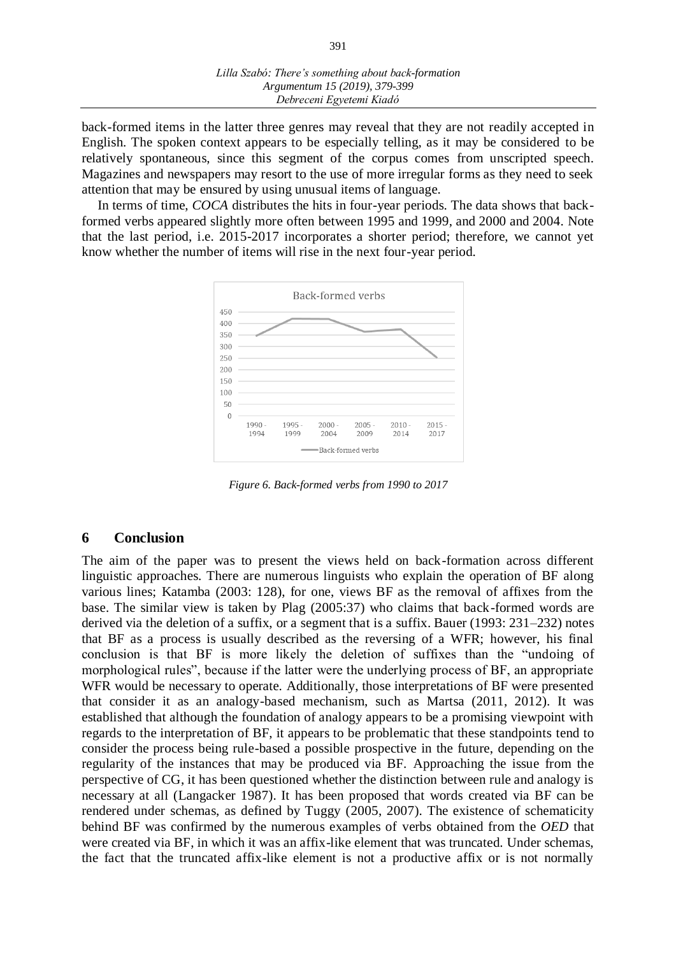back-formed items in the latter three genres may reveal that they are not readily accepted in English. The spoken context appears to be especially telling, as it may be considered to be relatively spontaneous, since this segment of the corpus comes from unscripted speech. Magazines and newspapers may resort to the use of more irregular forms as they need to seek attention that may be ensured by using unusual items of language.

In terms of time, *COCA* distributes the hits in four-year periods. The data shows that backformed verbs appeared slightly more often between 1995 and 1999, and 2000 and 2004. Note that the last period, i.e. 2015-2017 incorporates a shorter period; therefore, we cannot yet know whether the number of items will rise in the next four-year period.



*Figure 6. Back-formed verbs from 1990 to 2017*

#### **6 Conclusion**

The aim of the paper was to present the views held on back-formation across different linguistic approaches. There are numerous linguists who explain the operation of BF along various lines; Katamba (2003: 128), for one, views BF as the removal of affixes from the base. The similar view is taken by Plag (2005:37) who claims that back-formed words are derived via the deletion of a suffix, or a segment that is a suffix. Bauer (1993: 231–232) notes that BF as a process is usually described as the reversing of a WFR; however, his final conclusion is that BF is more likely the deletion of suffixes than the "undoing of morphological rules", because if the latter were the underlying process of BF, an appropriate WFR would be necessary to operate. Additionally, those interpretations of BF were presented that consider it as an analogy-based mechanism, such as Martsa (2011, 2012). It was established that although the foundation of analogy appears to be a promising viewpoint with regards to the interpretation of BF, it appears to be problematic that these standpoints tend to consider the process being rule-based a possible prospective in the future, depending on the regularity of the instances that may be produced via BF. Approaching the issue from the perspective of CG, it has been questioned whether the distinction between rule and analogy is necessary at all (Langacker 1987). It has been proposed that words created via BF can be rendered under schemas, as defined by Tuggy (2005, 2007). The existence of schematicity behind BF was confirmed by the numerous examples of verbs obtained from the *OED* that were created via BF, in which it was an affix-like element that was truncated. Under schemas, the fact that the truncated affix-like element is not a productive affix or is not normally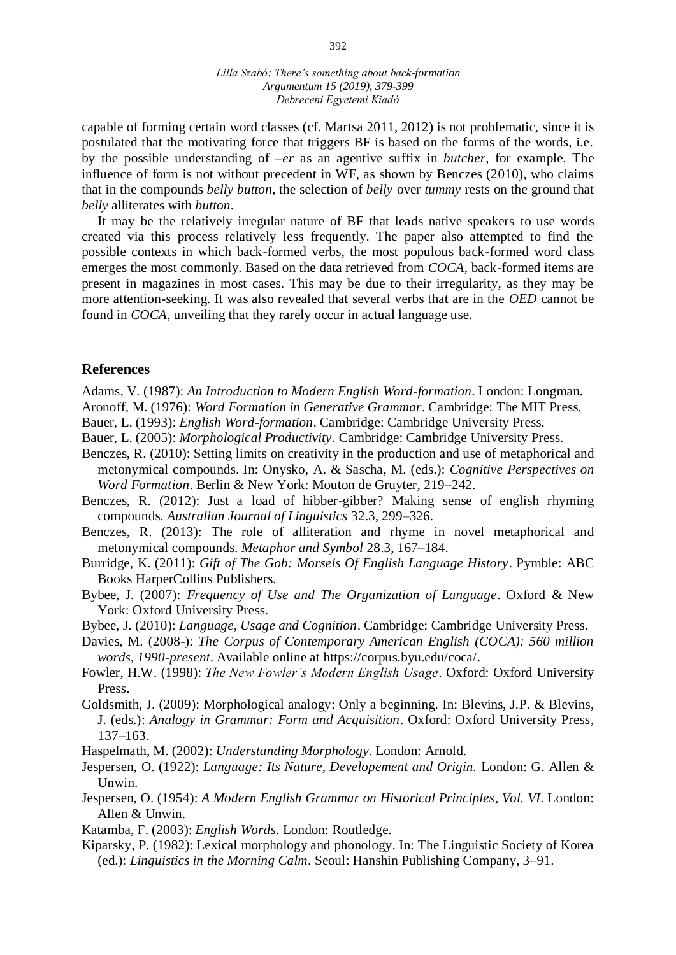capable of forming certain word classes (cf. Martsa 2011, 2012) is not problematic, since it is postulated that the motivating force that triggers BF is based on the forms of the words, i.e. by the possible understanding of –*er* as an agentive suffix in *butcher*, for example. The influence of form is not without precedent in WF, as shown by Benczes (2010), who claims that in the compounds *belly button*, the selection of *belly* over *tummy* rests on the ground that *belly* alliterates with *button*.

It may be the relatively irregular nature of BF that leads native speakers to use words created via this process relatively less frequently. The paper also attempted to find the possible contexts in which back-formed verbs, the most populous back-formed word class emerges the most commonly. Based on the data retrieved from *COCA*, back-formed items are present in magazines in most cases. This may be due to their irregularity, as they may be more attention-seeking. It was also revealed that several verbs that are in the *OED* cannot be found in *COCA*, unveiling that they rarely occur in actual language use.

#### **References**

Adams, V. (1987): *An Introduction to Modern English Word-formation*. London: Longman.

- Aronoff, M. (1976): *Word Formation in Generative Grammar*. Cambridge: The MIT Press.
- Bauer, L. (1993): *English Word-formation*. Cambridge: Cambridge University Press.
- Bauer, L. (2005): *Morphological Productivity*. Cambridge: Cambridge University Press.
- Benczes, R. (2010): Setting limits on creativity in the production and use of metaphorical and metonymical compounds. In: Onysko, A. & Sascha, M. (eds.): *Cognitive Perspectives on Word Formation*. Berlin & New York: Mouton de Gruyter, 219–242.
- Benczes, R. (2012): Just a load of hibber-gibber? Making sense of english rhyming compounds. *Australian Journal of Linguistics* 32.3, 299–326.
- Benczes, R. (2013): The role of alliteration and rhyme in novel metaphorical and metonymical compounds. *Metaphor and Symbol* 28.3, 167–184.
- Burridge, K. (2011): *Gift of The Gob: Morsels Of English Language History*. Pymble: ABC Books HarperCollins Publishers.
- Bybee, J. (2007): *Frequency of Use and The Organization of Language*. Oxford & New York: Oxford University Press.
- Bybee, J. (2010): *Language, Usage and Cognition*. Cambridge: Cambridge University Press.
- Davies, M. (2008-): *The Corpus of Contemporary American English (COCA): 560 million words, 1990-present*. Available online at [https://corpus.byu.edu/coca/.](https://corpus.byu.edu/coca/)
- Fowler, H.W. (1998): *The New Fowler's Modern English Usage*. Oxford: Oxford University Press.
- Goldsmith, J. (2009): Morphological analogy: Only a beginning. In: Blevins, J.P. & Blevins, J. (eds.): *Analogy in Grammar: Form and Acquisition*. Oxford: Oxford University Press, 137–163.
- Haspelmath, M. (2002): *Understanding Morphology*. London: Arnold.
- Jespersen, O. (1922): *Language: Its Nature, Developement and Origin.* London: G. Allen & Unwin.
- Jespersen, O. (1954): *A Modern English Grammar on Historical Principles*, *Vol. VI*. London: Allen & Unwin.
- Katamba, F. (2003): *English Words*. London: Routledge.
- Kiparsky, P. (1982): Lexical morphology and phonology. In: The Linguistic Society of Korea (ed.): *Linguistics in the Morning Calm*. Seoul: Hanshin Publishing Company, 3–91.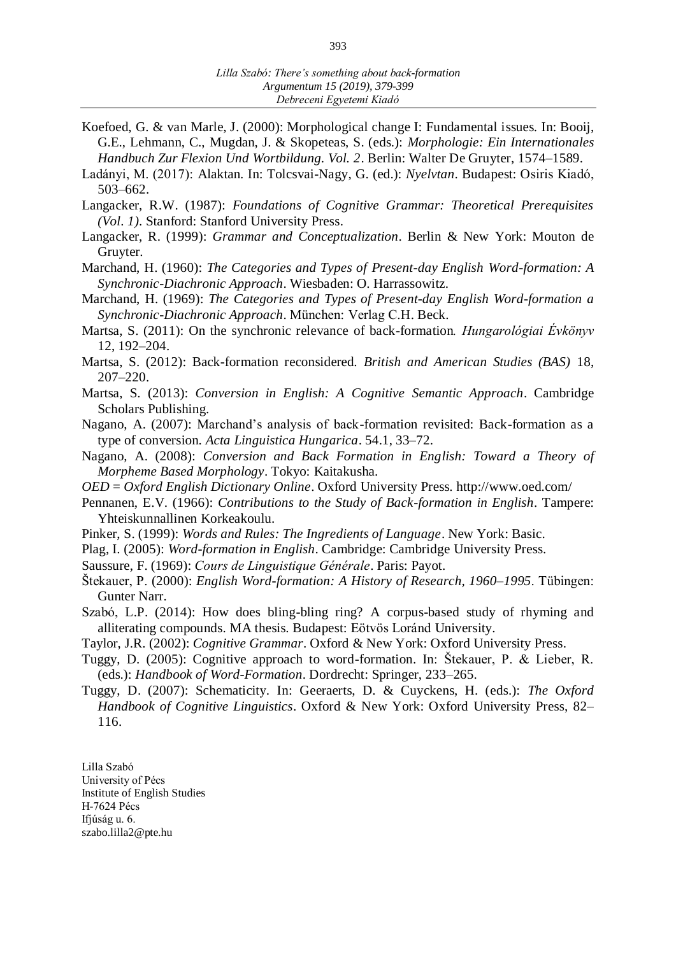- Koefoed, G. & van Marle, J. (2000): Morphological change I: Fundamental issues. In: Booij, G.E., Lehmann, C., Mugdan, J. & Skopeteas, S. (eds.): *Morphologie: Ein Internationales Handbuch Zur Flexion Und Wortbildung. Vol. 2*. Berlin: Walter De Gruyter, 1574–1589.
- Ladányi, M. (2017): Alaktan. In: Tolcsvai-Nagy, G. (ed.): *Nyelvtan*. Budapest: Osiris Kiadó, 503–662.
- Langacker, R.W. (1987): *Foundations of Cognitive Grammar: Theoretical Prerequisites (Vol. 1)*. Stanford: Stanford University Press.
- Langacker, R. (1999): *Grammar and Conceptualization*. Berlin & New York: Mouton de Gruyter.
- Marchand, H. (1960): *The Categories and Types of Present-day English Word-formation: A Synchronic-Diachronic Approach*. Wiesbaden: O. Harrassowitz.
- Marchand, H. (1969): *The Categories and Types of Present-day English Word-formation a Synchronic-Diachronic Approach*. München: Verlag C.H. Beck.
- Martsa, S. (2011): On the synchronic relevance of back-formation*. Hungarológiai Évkönyv* 12, 192–204.
- Martsa, S. (2012): Back-formation reconsidered. *British and American Studies (BAS)* 18, 207–220.
- Martsa, S. (2013): *Conversion in English: A Cognitive Semantic Approach*. Cambridge Scholars Publishing.
- Nagano, A. (2007): Marchand's analysis of back-formation revisited: Back-formation as a type of conversion. *Acta Linguistica Hungarica*. 54.1, 33–72.
- Nagano, A. (2008): *Conversion and Back Formation in English: Toward a Theory of Morpheme Based Morphology*. Tokyo: Kaitakusha.
- *OED* = *Oxford English Dictionary Online*. Oxford University Press. http://www.oed.com/
- Pennanen, E.V. (1966): *Contributions to the Study of Back-formation in English*. Tampere: Yhteiskunnallinen Korkeakoulu.
- Pinker, S. (1999): *Words and Rules: The Ingredients of Language*. New York: Basic.
- Plag, I. (2005): *Word-formation in English*. Cambridge: Cambridge University Press.
- Saussure, F. (1969): *Cours de Linguistique Générale*. Paris: Payot.
- Štekauer, P. (2000): *English Word-formation: A History of Research, 1960–1995*. Tübingen: Gunter Narr.
- Szabó, L.P. (2014): How does bling-bling ring? A corpus-based study of rhyming and alliterating compounds. MA thesis. Budapest: Eötvös Loránd University.
- Taylor, J.R. (2002): *Cognitive Grammar*. Oxford & New York: Oxford University Press.
- Tuggy, D. (2005): Cognitive approach to word-formation. In: Štekauer, P. & Lieber, R. (eds.): *Handbook of Word-Formation*. Dordrecht: Springer, 233–265.
- Tuggy, D. (2007): Schematicity. In: Geeraerts, D. & Cuyckens, H. (eds.): *The Oxford Handbook of Cognitive Linguistics*. Oxford & New York: Oxford University Press, 82– 116.

Lilla Szabó University of Pécs Institute of English Studies H-7624 Pécs Ifjúság u. 6. [szabo.lilla2@pte.hu](mailto:szabo.lilla2@pte.hu)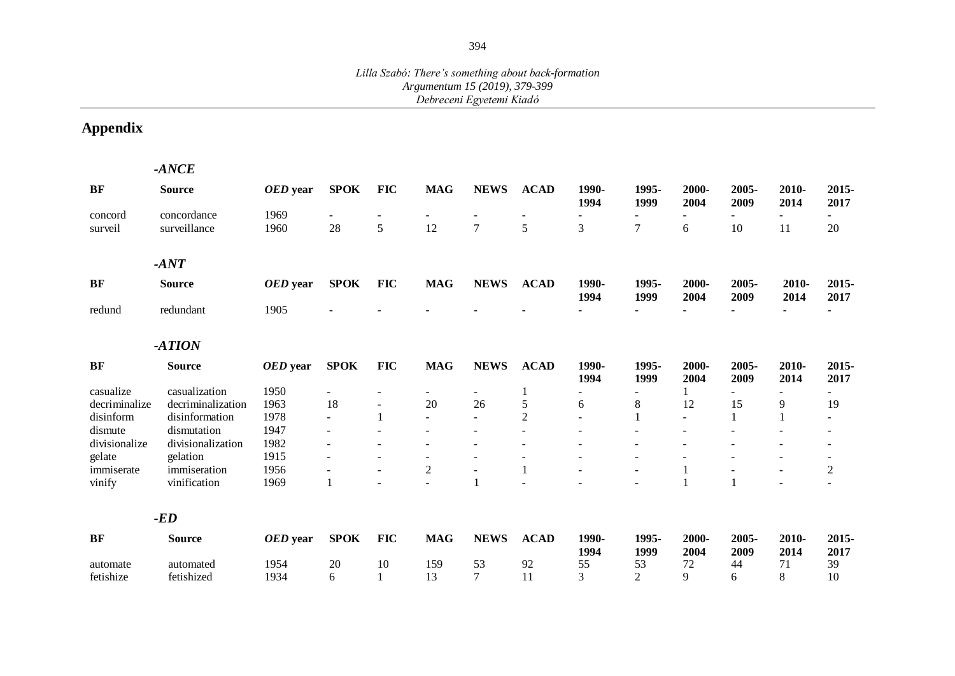#### *Lilla Szabó: There's something about back-formation Argumentum 15 (2019), 379-399 Debreceni Egyetemi Kiadó*

# **Appendix**

|               | $-ANCE$           |          |                |                          |                          |                |                   |                          |                      |                          |               |                |                          |
|---------------|-------------------|----------|----------------|--------------------------|--------------------------|----------------|-------------------|--------------------------|----------------------|--------------------------|---------------|----------------|--------------------------|
| BF            | <b>Source</b>     | OED year | <b>SPOK</b>    | <b>FIC</b>               | <b>MAG</b>               | <b>NEWS</b>    | <b>ACAD</b>       | 1990-<br>1994            | 1995-<br>1999        | 2000-<br>2004            | 2005-<br>2009 | 2010-<br>2014  | 2015-<br>2017            |
| concord       | concordance       | 1969     |                |                          |                          |                |                   |                          |                      |                          |               |                |                          |
| surveil       | surveillance      | 1960     | 28             | 5                        | 12                       | 7              | 5                 | 3                        | 7                    | 6                        | 10            | 11             | 20                       |
|               | $-ANT$            |          |                |                          |                          |                |                   |                          |                      |                          |               |                |                          |
| BF            | <b>Source</b>     | OED year | <b>SPOK</b>    | <b>FIC</b>               | <b>MAG</b>               | <b>NEWS</b>    | <b>ACAD</b>       | 1990-<br>1994            | 1995-<br>1999        | 2000-<br>2004            | 2005-<br>2009 | 2010-<br>2014  | 2015-<br>2017            |
| redund        | redundant         | 1905     |                |                          |                          |                |                   |                          | ٠                    | $\equiv$                 |               | $\sim$         | $\sim$                   |
|               | $-ATION$          |          |                |                          |                          |                |                   |                          |                      |                          |               |                |                          |
| BF            | <b>Source</b>     | OED year | <b>SPOK</b>    | <b>FIC</b>               | <b>MAG</b>               | <b>NEWS</b>    | <b>ACAD</b>       | 1990-<br>1994            | 1995-<br>1999        | 2000-<br>2004            | 2005-<br>2009 | 2010-<br>2014  | 2015-<br>2017            |
| casualize     | casualization     | 1950     |                | $\blacksquare$           | $\overline{\phantom{a}}$ |                | 1                 |                          |                      |                          |               |                |                          |
| decriminalize | decriminalization | 1963     | 18             | $\overline{\phantom{a}}$ | 20                       | 26             | 5                 | 6                        | 8                    | 12                       | 15            | 9              | 19                       |
| disinform     | disinformation    | 1978     | $\blacksquare$ | 1                        | $\blacksquare$           |                | $\overline{2}$    | $\overline{\phantom{a}}$ |                      | $\overline{\phantom{a}}$ |               |                | $\overline{\phantom{0}}$ |
| dismute       | dismutation       | 1947     |                |                          |                          |                |                   |                          |                      |                          |               |                |                          |
| divisionalize | divisionalization | 1982     |                |                          |                          |                |                   |                          |                      |                          |               |                |                          |
| gelate        | gelation          | 1915     |                |                          | $\blacksquare$           |                | $\qquad \qquad -$ |                          | $\blacksquare$       |                          |               |                | $\overline{\phantom{a}}$ |
| immiserate    | immiseration      | 1956     |                | $\overline{\phantom{a}}$ | $\sqrt{2}$               | $\blacksquare$ | 1                 |                          | $\ddot{\phantom{a}}$ | $\mathbf{1}$             |               | $\blacksquare$ | $\boldsymbol{2}$         |
| vinify        | vinification      | 1969     |                |                          |                          |                |                   |                          |                      |                          |               |                |                          |
|               | $-ED$             |          |                |                          |                          |                |                   |                          |                      |                          |               |                |                          |
| BF            | <b>Source</b>     | OED year | <b>SPOK</b>    | <b>FIC</b>               | <b>MAG</b>               | <b>NEWS</b>    | <b>ACAD</b>       | 1990-<br>1994            | 1995-<br>1999        | 2000-<br>2004            | 2005-<br>2009 | 2010-<br>2014  | 2015-<br>2017            |
| automate      | automated         | 1954     | 20             | 10                       | 159                      | 53             | 92                | 55                       | 53                   | 72                       | 44            | 71             | 39                       |
| fetishize     | fetishized        | 1934     | 6              | 1                        | 13                       | 7              | 11                | 3                        | $\overline{2}$       | 9                        | 6             | 8              | 10                       |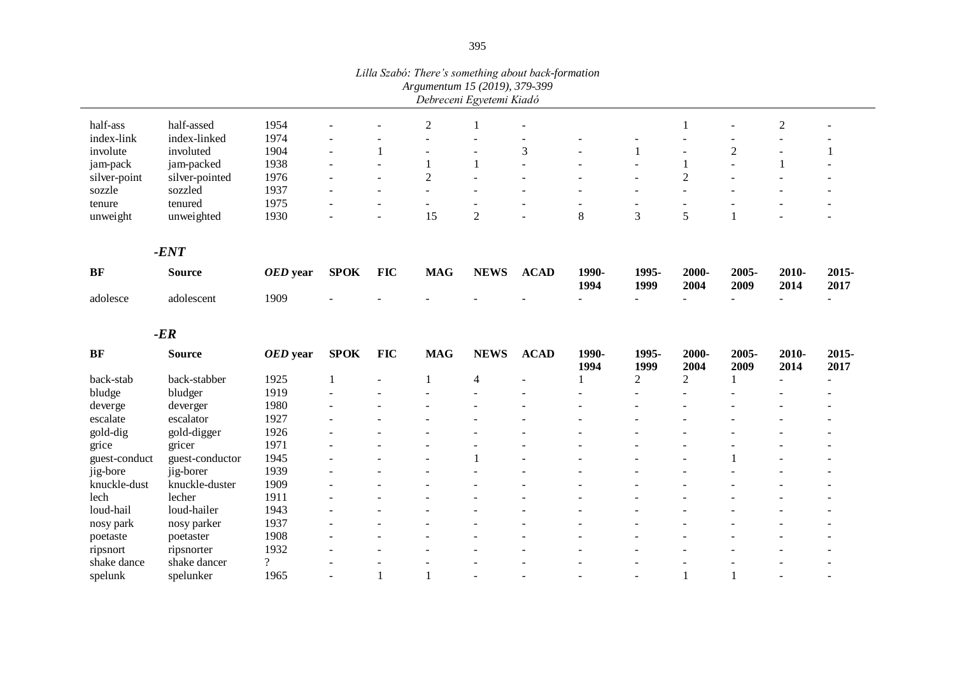|               |                 |          |                |                          | Luia Szabo: There s something about back-formation<br>Argumentum 15 (2019), 379-399 | Debreceni Egyetemi Kiadó |                      |               |                |                          |                |                  |               |
|---------------|-----------------|----------|----------------|--------------------------|-------------------------------------------------------------------------------------|--------------------------|----------------------|---------------|----------------|--------------------------|----------------|------------------|---------------|
| half-ass      | half-assed      | 1954     |                |                          | $\boldsymbol{2}$                                                                    | 1                        | $\blacksquare$       |               |                | 1                        |                | $\boldsymbol{2}$ |               |
| index-link    | index-linked    | 1974     |                |                          |                                                                                     | ÷                        |                      |               |                |                          |                |                  |               |
| involute      | involuted       | 1904     |                | $\mathbf{1}$             |                                                                                     |                          | 3                    |               | 1              |                          | $\sqrt{2}$     |                  | $\mathbf{1}$  |
| jam-pack      | jam-packed      | 1938     |                | $\sim$                   | 1                                                                                   | 1                        | $\overline{a}$       |               |                | $\mathbf{1}$             | $\overline{a}$ | 1                |               |
| silver-point  | silver-pointed  | 1976     |                | $\sim$                   | $\overline{2}$                                                                      | $\overline{a}$           | $\overline{a}$       |               |                | $\sqrt{2}$               |                |                  |               |
| sozzle        | sozzled         | 1937     |                | $\overline{\phantom{a}}$ | $\sim$                                                                              | $\sim$                   |                      |               | $\sim$         | $\sim$                   |                |                  |               |
| tenure        | tenured         | 1975     |                | $\overline{a}$           | $\overline{\phantom{a}}$                                                            |                          | -                    |               |                | $\overline{\phantom{a}}$ |                |                  |               |
| unweight      | unweighted      | 1930     |                | ÷,                       | 15                                                                                  | $\overline{2}$           | L,                   | $8\,$         | 3              | 5                        | 1              |                  |               |
|               | $-ENT$          |          |                |                          |                                                                                     |                          |                      |               |                |                          |                |                  |               |
| <b>BF</b>     | <b>Source</b>   | OED year | <b>SPOK</b>    | <b>FIC</b>               | <b>MAG</b>                                                                          | <b>NEWS</b>              | <b>ACAD</b>          | 1990-<br>1994 | 1995-<br>1999  | 2000-<br>2004            | 2005-<br>2009  | 2010-<br>2014    | 2015-<br>2017 |
| adolesce      | adolescent      | 1909     |                |                          |                                                                                     |                          |                      |               | $\overline{a}$ |                          |                |                  |               |
|               | $-ER$           |          |                |                          |                                                                                     |                          |                      |               |                |                          |                |                  |               |
| <b>BF</b>     | <b>Source</b>   | OED year | <b>SPOK</b>    | <b>FIC</b>               | <b>MAG</b>                                                                          | <b>NEWS</b>              | <b>ACAD</b>          | 1990-<br>1994 | 1995-<br>1999  | 2000-<br>2004            | 2005-<br>2009  | 2010-<br>2014    | 2015-<br>2017 |
| back-stab     | back-stabber    | 1925     | 1              |                          | 1                                                                                   | 4                        | $\overline{a}$       |               | $\overline{2}$ | $\overline{c}$           |                |                  | ÷,            |
| bludge        | bludger         | 1919     |                |                          |                                                                                     |                          | $\overline{a}$       |               |                |                          |                |                  |               |
| deverge       | deverger        | 1980     |                |                          |                                                                                     |                          | $\blacksquare$       |               |                |                          |                |                  |               |
| escalate      | escalator       | 1927     |                |                          |                                                                                     |                          | -                    |               |                |                          |                |                  |               |
| gold-dig      | gold-digger     | 1926     |                |                          |                                                                                     |                          | $\overline{a}$       |               |                |                          |                |                  |               |
| grice         | gricer          | 1971     |                | $\overline{\phantom{a}}$ |                                                                                     |                          | $\blacksquare$       |               | $\blacksquare$ | $\overline{a}$           |                |                  |               |
| guest-conduct | guest-conductor | 1945     | $\blacksquare$ | $\overline{\phantom{a}}$ |                                                                                     | $\mathbf{1}$             | $\ddot{\phantom{a}}$ |               | $\overline{a}$ | $\sim$                   | $\mathbf{1}$   | ÷.               |               |
| jig-bore      | jig-borer       | 1939     |                | $\overline{a}$           |                                                                                     | L.                       | $\overline{a}$       |               | $\overline{a}$ | $\overline{a}$           |                |                  |               |
| knuckle-dust  | knuckle-duster  | 1909     | $\overline{a}$ | $\overline{a}$           |                                                                                     |                          | $\overline{a}$       |               |                | $\overline{a}$           |                |                  |               |
| lech          | lecher          | 1911     |                | ÷.                       |                                                                                     |                          | $\overline{a}$       |               | $\sim$         | $\overline{a}$           |                |                  |               |
| loud-hail     | loud-hailer     | 1943     |                |                          |                                                                                     |                          |                      |               |                |                          |                |                  |               |
| nosy park     | nosy parker     | 1937     |                | ÷,                       |                                                                                     |                          |                      |               |                |                          |                |                  |               |
| poetaste      | poetaster       | 1908     |                |                          |                                                                                     |                          |                      |               |                |                          |                |                  |               |
| ripsnort      | ripsnorter      | 1932     |                | $\overline{\phantom{a}}$ |                                                                                     |                          |                      |               |                |                          |                |                  |               |

shake dance shake dancer ? - - - - - - - - - - spelunk spelunker 1965 - 1 1 - - - - - 1 1 - -

*Lilla Szabó: There's something about back-formation*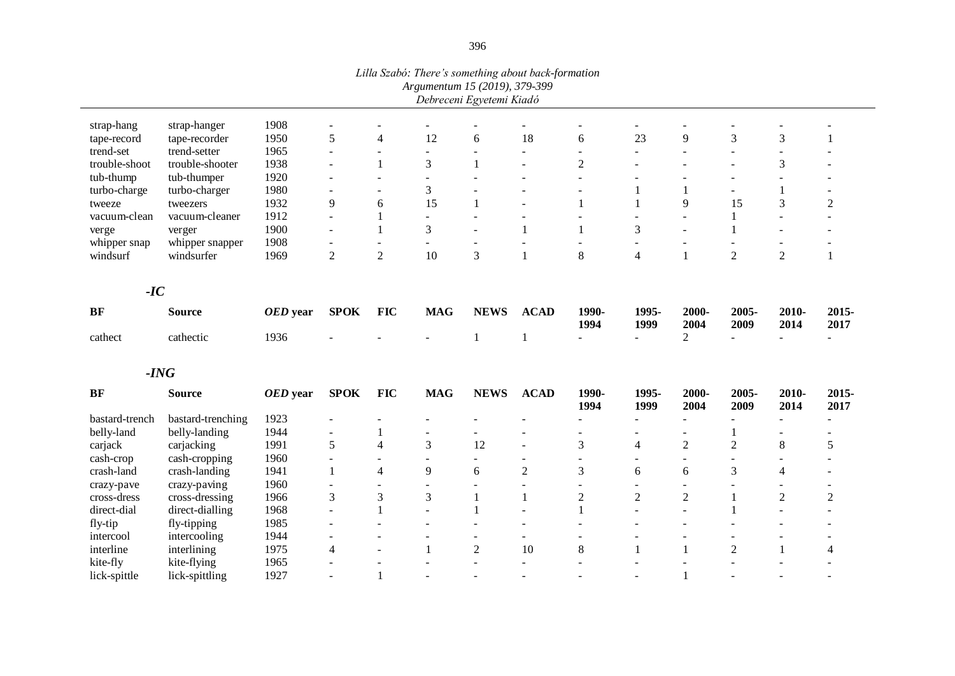|                          |                               |              |                          |                                  |                          | Lina B2abo. There's something about back-formation<br>Argumentum 15 (2019), 379-399 |                              |                          |                          |                |                          |                          |                |
|--------------------------|-------------------------------|--------------|--------------------------|----------------------------------|--------------------------|-------------------------------------------------------------------------------------|------------------------------|--------------------------|--------------------------|----------------|--------------------------|--------------------------|----------------|
|                          |                               |              |                          |                                  |                          | Debreceni Egyetemi Kiadó                                                            |                              |                          |                          |                |                          |                          |                |
|                          |                               |              |                          |                                  |                          |                                                                                     |                              |                          |                          |                |                          |                          |                |
| strap-hang               | strap-hanger<br>tape-recorder | 1908<br>1950 | $\blacksquare$<br>5      | $\blacksquare$<br>$\overline{4}$ | ٠<br>12                  | 6                                                                                   | 18                           | 6                        | 23                       | 9              | 3                        | $\mathfrak{Z}$           |                |
| tape-record<br>trend-set | trend-setter                  | 1965         | $\sim$                   |                                  | ÷                        | $\sim$                                                                              | $\sim$                       | $\sim$                   | $\sim$                   | $\sim$         | $\sim$                   | $\blacksquare$           | $\mathbf{1}$   |
| trouble-shoot            | trouble-shooter               | 1938         | $\overline{a}$           | $\overline{\phantom{a}}$<br>1    | 3                        | 1                                                                                   |                              | $\overline{2}$           |                          |                |                          | 3                        |                |
|                          |                               | 1920         |                          |                                  |                          |                                                                                     |                              |                          |                          |                |                          |                          |                |
| tub-thump                | tub-thumper                   | 1980         |                          | $\overline{\phantom{a}}$         | $\blacksquare$<br>3      |                                                                                     |                              |                          |                          |                |                          | $\mathbf 1$              |                |
| turbo-charge             | turbo-charger                 | 1932         | $\blacksquare$<br>9      | $\overline{\phantom{0}}$         | 15                       | 1                                                                                   |                              |                          |                          | 9              | 15                       | 3                        |                |
| tweeze                   | tweezers                      |              |                          | 6                                |                          |                                                                                     | $\overline{\phantom{a}}$     |                          |                          |                | $\mathbf{1}$             |                          | $\overline{2}$ |
| vacuum-clean             | vacuum-cleaner                | 1912         | $\blacksquare$           | $\mathbf{1}$                     | $\blacksquare$<br>3      | $\blacksquare$                                                                      | $\overline{\phantom{a}}$     |                          |                          |                |                          | $\blacksquare$           | $\sim$         |
| verge                    | verger                        | 1900         | $\blacksquare$           | $\mathbf{1}$                     |                          | $\sim$                                                                              | 1                            |                          | 3                        |                | 1                        |                          |                |
| whipper snap             | whipper snapper               | 1908         | $\overline{2}$           | $\blacksquare$<br>$\overline{2}$ | 10                       | $\sim$<br>3                                                                         | $\overline{\phantom{a}}$     | $\sim$<br>8              |                          |                | $\sim$<br>$\overline{2}$ | $\overline{2}$           |                |
| windsurf                 | windsurfer                    | 1969         |                          |                                  |                          |                                                                                     |                              |                          | $\overline{4}$           |                |                          |                          | 1              |
|                          |                               |              |                          |                                  |                          |                                                                                     |                              |                          |                          |                |                          |                          |                |
| $-IC$                    |                               |              |                          |                                  |                          |                                                                                     |                              |                          |                          |                |                          |                          |                |
| <b>BF</b>                | <b>Source</b>                 | OED year     | <b>SPOK</b>              | <b>FIC</b>                       | <b>MAG</b>               | <b>NEWS</b>                                                                         | <b>ACAD</b>                  | 1990-<br>1994            | 1995-<br>1999            | 2000-<br>2004  | 2005-<br>2009            | 2010-<br>2014            | 2015-<br>2017  |
| cathect                  | cathectic                     | 1936         |                          |                                  |                          | 1                                                                                   |                              | $\sim$                   | $\sim$                   | 2              |                          |                          |                |
|                          |                               |              |                          |                                  |                          |                                                                                     |                              |                          |                          |                |                          |                          |                |
|                          | $-ING$                        |              |                          |                                  |                          |                                                                                     |                              |                          |                          |                |                          |                          |                |
| <b>BF</b>                |                               |              | <b>SPOK</b>              | <b>FIC</b>                       | <b>MAG</b>               | <b>NEWS</b>                                                                         | <b>ACAD</b>                  | 1990-                    | 1995-                    | 2000-          | 2005-                    | 2010-                    | 2015-          |
|                          | <b>Source</b>                 | OED year     |                          |                                  |                          |                                                                                     |                              | 1994                     | 1999                     | 2004           | 2009                     | 2014                     | 2017           |
| bastard-trench           | bastard-trenching             | 1923         |                          |                                  |                          |                                                                                     |                              | $\overline{a}$           |                          |                |                          |                          |                |
| belly-land               | belly-landing                 | 1944         | $\blacksquare$           | 1                                |                          | $\overline{a}$                                                                      |                              | $\sim$                   |                          |                | 1                        |                          |                |
| carjack                  | carjacking                    | 1991         | 5                        | 4                                | 3                        | 12                                                                                  | $\overline{\phantom{a}}$     | 3                        | $\overline{4}$           | $\overline{2}$ | $\overline{2}$           | $\,8\,$                  | 5              |
| cash-crop                | cash-cropping                 | 1960         | $\blacksquare$           | $\overline{\phantom{a}}$         | $\overline{\phantom{a}}$ | $\overline{\phantom{0}}$                                                            | $\qquad \qquad \blacksquare$ | $\sim$                   | $\overline{\phantom{a}}$ |                |                          | $\overline{\phantom{a}}$ |                |
| crash-land               | crash-landing                 | 1941         | $\mathbf{1}$             | $\overline{4}$                   | 9                        | 6                                                                                   | $\overline{2}$               | 3                        | 6                        | 6              | 3                        | $\overline{4}$           |                |
| crazy-pave               | crazy-paving                  | 1960         | $\blacksquare$           |                                  | ÷                        |                                                                                     | $\overline{\phantom{a}}$     | $\blacksquare$           |                          |                |                          |                          |                |
| cross-dress              | cross-dressing                | 1966         | 3                        | 3                                | 3                        | 1                                                                                   | $\mathbf{1}$                 | $\overline{2}$           | $\sqrt{2}$               | $\overline{2}$ | $\mathbf{1}$             | $\overline{2}$           | $\overline{2}$ |
| direct-dial              | direct-dialling               | 1968         | $\overline{a}$           | $\mathbf{1}$                     | $\sim$                   | 1                                                                                   |                              | 1                        |                          |                |                          |                          |                |
| fly-tip                  | fly-tipping                   | 1985         | $\blacksquare$           |                                  | $\overline{\phantom{0}}$ | ۰                                                                                   | $\blacksquare$               |                          |                          |                |                          |                          |                |
| intercool                | intercooling                  | 1944         | $\overline{\phantom{a}}$ | $\overline{\phantom{a}}$         | $\overline{\phantom{a}}$ | $\sim$                                                                              | $\overline{\phantom{a}}$     |                          |                          |                |                          |                          |                |
| interline                | interlining                   | 1975         | $\overline{4}$           | $\overline{a}$                   | $\mathbf{1}$             | $\overline{2}$                                                                      | 10                           | $\,$ 8 $\,$              | $\mathbf{1}$             | 1              | $\overline{2}$           | $\mathbf{1}$             | 4              |
| kite-fly                 | kite-flying                   | 1965         |                          |                                  |                          |                                                                                     |                              |                          |                          |                |                          |                          |                |
| lick-spittle             | lick-spittling                | 1927         |                          | 1                                | $\overline{\phantom{0}}$ | $\overline{\phantom{0}}$                                                            |                              | $\overline{\phantom{a}}$ |                          |                |                          |                          |                |

*Lilla Szabó: There's something about back-formation*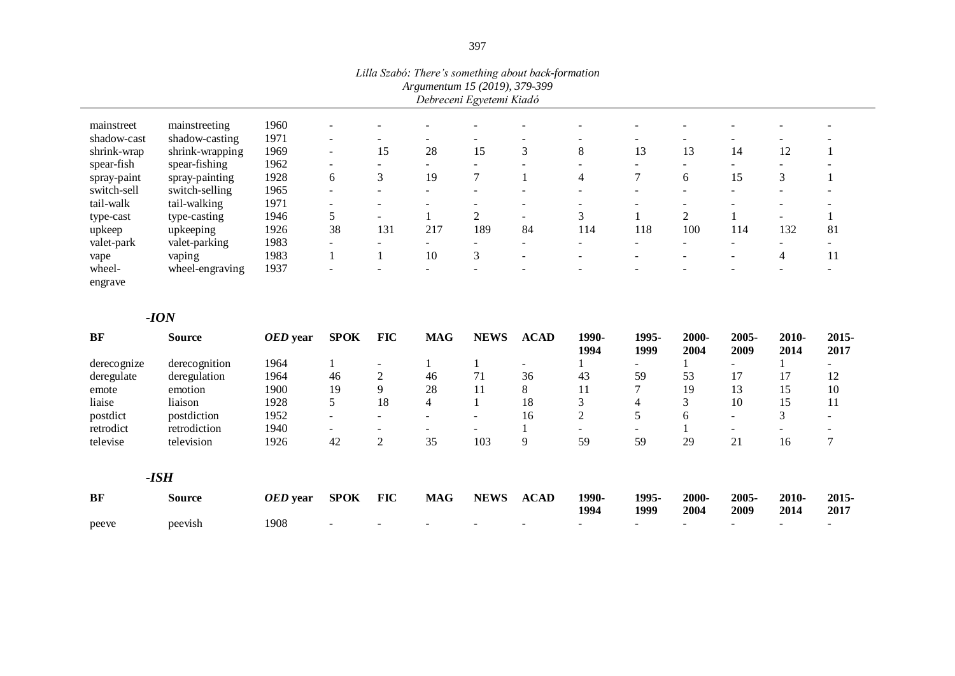|             |                 |      | Luia Szabo: There s someining about back-formation |    | Debreceni Egyetemi Kiadó | Argumentum 15 (2019), 379-399 |   |    |    |    |    |  |
|-------------|-----------------|------|----------------------------------------------------|----|--------------------------|-------------------------------|---|----|----|----|----|--|
| mainstreet  | mainstreeting   | 1960 |                                                    |    |                          |                               | - |    |    |    |    |  |
| shadow-cast | shadow-casting  | 1971 |                                                    |    |                          |                               |   |    |    |    |    |  |
| shrink-wrap | shrink-wrapping | 1969 | 15                                                 | 28 |                          |                               | 8 | 13 | 13 | 14 | 12 |  |
| spear-fish  | spear-fishing   | 1962 |                                                    |    |                          |                               |   |    |    |    |    |  |
| spray-paint | spray-painting  | 1928 |                                                    | 19 |                          |                               |   |    |    |    |    |  |

switch-sell switch-selling 1965 - - - - - - - - - - - - - - - - - tail-walk tail-walking 1971 - - - - - - - - - - - - - - - - type-cast type-casting 1946 5 - 1 2 - 3 1 2 1 - 1 upkeep upkeeping 1926 38 131 217 189 84 114 118 100 114 132 81 valet-park valet-parking 1983 - - - - - - - - - - vape vaping 1983 1 1 10 3 - - - - - - - 4 11

wheel-engraving 1937 - - - - - - - - - - -

*Lilla Szabó: There's something about back-formation*

#### *-ION*

wheelengrave

| <b>BF</b>   | <b>Source</b> | OED year | <b>SPOK</b> | <b>FIC</b>               | <b>MAG</b>               | <b>NEWS</b> | <b>ACAD</b>              | 1990-<br>1994            | 1995-<br>1999            | 2000-<br>2004 | 2005-<br>2009            | 2010-<br>2014            | 2015-<br>2017                |
|-------------|---------------|----------|-------------|--------------------------|--------------------------|-------------|--------------------------|--------------------------|--------------------------|---------------|--------------------------|--------------------------|------------------------------|
| derecognize | derecognition | 1964     |             |                          |                          |             | $\overline{\phantom{a}}$ |                          |                          |               |                          |                          |                              |
| deregulate  | deregulation  | 1964     | 46          | 2                        | 46                       | 71          | 36                       | 43                       | 59                       | 53            | 17                       | 17                       | 12                           |
| emote       | emotion       | 1900     | 19          | 9                        | 28                       | 11          | 8                        | 11                       | $\mathcal{L}$            | 19            | 13                       | 15                       | 10                           |
| liaise      | liaison       | 1928     | 5           | 18                       | 4                        |             | 18                       | 3                        | 4                        | 3             | 10                       | 15                       | 11                           |
| postdict    | postdiction   | 1952     |             | $\overline{\phantom{0}}$ | ۰                        | -           | 16                       | 2                        | 5                        | 6             | $\overline{\phantom{0}}$ | 3                        | $\qquad \qquad \blacksquare$ |
| retrodict   | retrodiction  | 1940     |             | $\overline{\phantom{0}}$ | $\overline{\phantom{a}}$ |             |                          | $\overline{\phantom{0}}$ | $\overline{\phantom{a}}$ |               | -                        | $\overline{\phantom{0}}$ |                              |
| televise    | television    | 1926     | 42          | $\overline{2}$           | 35                       | 103         | 9                        | 59                       | 59                       | 29            | 21                       | 16                       |                              |
|             | $-ISH$        |          |             |                          |                          |             |                          |                          |                          |               |                          |                          |                              |
| <b>BF</b>   | <b>Source</b> | OED year | <b>SPOK</b> | <b>FIC</b>               | <b>MAG</b>               | <b>NEWS</b> | <b>ACAD</b>              | 1990-<br>1994            | 1995-<br>1999            | 2000-<br>2004 | 2005-<br>2009            | 2010-<br>2014            | 2015-<br>2017                |
| peeve       | peevish       | 1908     |             |                          |                          |             |                          |                          |                          |               |                          | $\overline{\phantom{a}}$ |                              |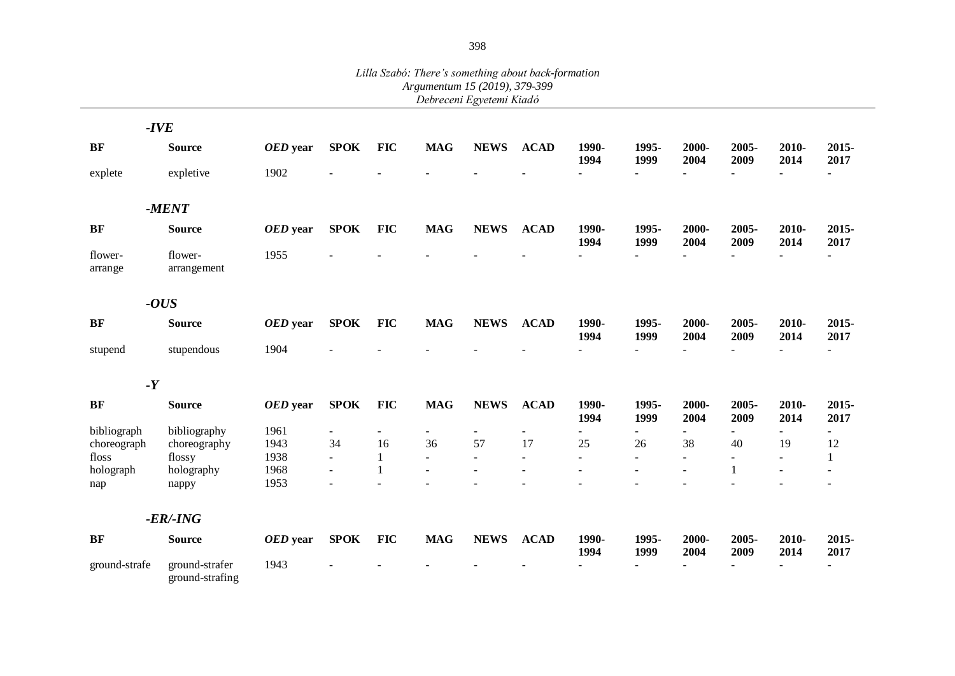|                    |                                   |          |                |              | Argumentum 15 (2019), 3/9-399 | Debreceni Egyetemi Kiadó |              |               |                |               |               |               |                  |
|--------------------|-----------------------------------|----------|----------------|--------------|-------------------------------|--------------------------|--------------|---------------|----------------|---------------|---------------|---------------|------------------|
|                    |                                   |          |                |              |                               |                          |              |               |                |               |               |               |                  |
|                    | $-IVE$                            |          |                |              |                               |                          |              |               |                |               |               |               |                  |
| <b>BF</b>          | <b>Source</b>                     | OED year | <b>SPOK</b>    | <b>FIC</b>   | <b>MAG</b>                    | <b>NEWS</b>              | <b>ACAD</b>  | 1990-<br>1994 | 1995-<br>1999  | 2000-<br>2004 | 2005-<br>2009 | 2010-<br>2014 | 2015-<br>2017    |
| explete            | expletive                         | 1902     |                |              |                               |                          |              | $\sim$        |                | $\equiv$      |               | $\sim$        | $\overline{a}$   |
|                    | $-MENT$                           |          |                |              |                               |                          |              |               |                |               |               |               |                  |
| <b>BF</b>          | <b>Source</b>                     | OED year | <b>SPOK</b>    | <b>FIC</b>   | <b>MAG</b>                    | <b>NEWS</b>              | <b>ACAD</b>  | 1990-<br>1994 | 1995-<br>1999  | 2000-<br>2004 | 2005-<br>2009 | 2010-<br>2014 | 2015-<br>2017    |
| flower-<br>arrange | flower-<br>arrangement            | 1955     |                |              |                               |                          |              | $\sim$        |                |               |               | $\sim$        | ÷.               |
|                    | $-OUS$                            |          |                |              |                               |                          |              |               |                |               |               |               |                  |
| <b>BF</b>          | <b>Source</b>                     | OED year | <b>SPOK</b>    | <b>FIC</b>   | <b>MAG</b>                    | <b>NEWS</b>              | <b>ACAD</b>  | 1990-<br>1994 | 1995-<br>1999  | 2000-<br>2004 | 2005-<br>2009 | 2010-<br>2014 | $2015 -$<br>2017 |
| stupend            | stupendous                        | 1904     |                |              |                               |                          |              | $\omega$      |                |               |               |               |                  |
| $-Y$               |                                   |          |                |              |                               |                          |              |               |                |               |               |               |                  |
| <b>BF</b>          | <b>Source</b>                     | OED year | <b>SPOK</b>    | <b>FIC</b>   | <b>MAG</b>                    | <b>NEWS</b>              | <b>ACAD</b>  | 1990-<br>1994 | 1995-<br>1999  | 2000-<br>2004 | 2005-<br>2009 | 2010-<br>2014 | 2015-<br>2017    |
| bibliograph        | bibliography                      | 1961     |                |              |                               |                          |              | $\sim$        |                |               |               | $\sim$        | ÷.               |
| choreograph        | choreography                      | 1943     | 34             | 16           | 36                            | 57                       | 17           | 25            | 26             | 38            | 40            | 19            | 12               |
| floss              | flossy                            | 1938     | $\blacksquare$ | $\mathbf{1}$ | $\sim$                        | $\blacksquare$           | $\mathbf{r}$ | $\mathbf{r}$  | $\overline{a}$ | $\sim$        | $\mathbf{r}$  | $\mathbf{r}$  | 1                |
| holograph          | holography                        | 1968     | $\sim$         | 1            |                               |                          |              | $\sim$        |                | $\sim$        | $\mathbf{1}$  | $\sim$        | $\sim$           |
| nap                | nappy                             | 1953     |                |              |                               |                          |              |               |                |               |               |               | $\sim$           |
|                    | $-ER$ $-ING$                      |          |                |              |                               |                          |              |               |                |               |               |               |                  |
| <b>BF</b>          | <b>Source</b>                     | OED year | <b>SPOK</b>    | <b>FIC</b>   | <b>MAG</b>                    | <b>NEWS</b>              | <b>ACAD</b>  | 1990-<br>1994 | 1995-<br>1999  | 2000-<br>2004 | 2005-<br>2009 | 2010-<br>2014 | 2015-<br>2017    |
| ground-strafe      | ground-strafer<br>ground-strafing | 1943     |                |              |                               |                          |              |               |                |               |               |               |                  |

*Lilla Szabó: There's something about back-formation Argumentum 15 (2019), 379-399*